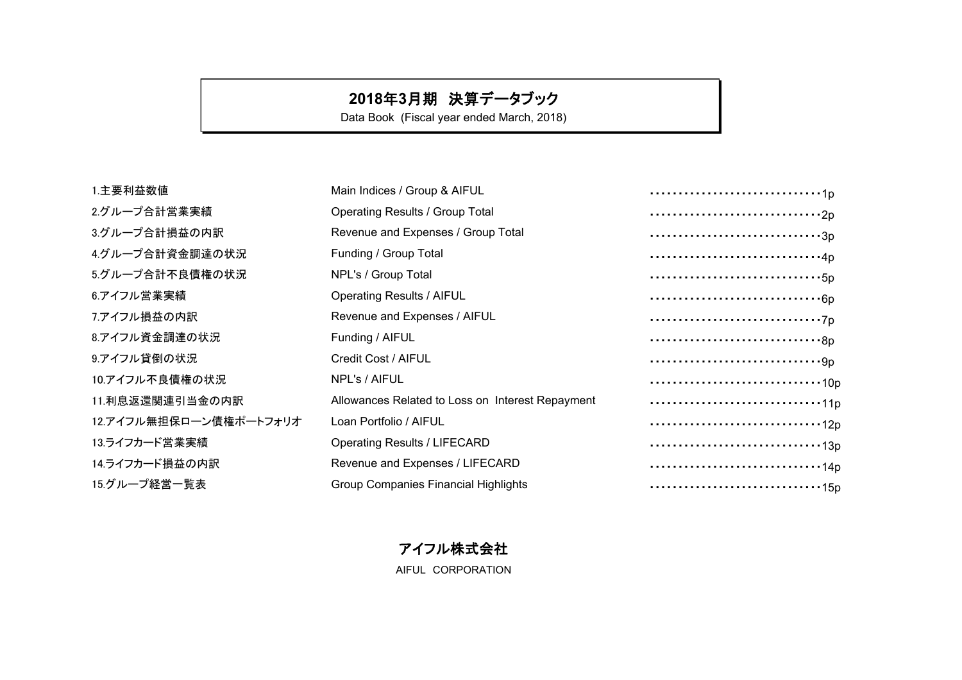# **2018**年**3**月期 決算データブック

Data Book (Fiscal year ended March, 2018)

| Main Indices / Group & AIFUL                     | 1p                                                                         |
|--------------------------------------------------|----------------------------------------------------------------------------|
| <b>Operating Results / Group Total</b>           | $\cdots \cdots \cdots \cdots \cdots \cdots \cdots \cdots \cdots \cdots 2p$ |
| Revenue and Expenses / Group Total               | 3p                                                                         |
| Funding / Group Total                            | 4p                                                                         |
| NPL's / Group Total                              |                                                                            |
| <b>Operating Results / AIFUL</b>                 |                                                                            |
| Revenue and Expenses / AIFUL                     |                                                                            |
| Funding / AIFUL                                  |                                                                            |
| Credit Cost / AIFUL                              |                                                                            |
| NPL's / AIFUL                                    |                                                                            |
| Allowances Related to Loss on Interest Repayment | 11p                                                                        |
| Loan Portfolio / AIFUL                           |                                                                            |
| <b>Operating Results / LIFECARD</b>              | 13p                                                                        |
| Revenue and Expenses / LIFECARD                  | 14p                                                                        |
| <b>Group Companies Financial Highlights</b>      |                                                                            |
|                                                  |                                                                            |

アイフル株式会社 AIFUL CORPORATION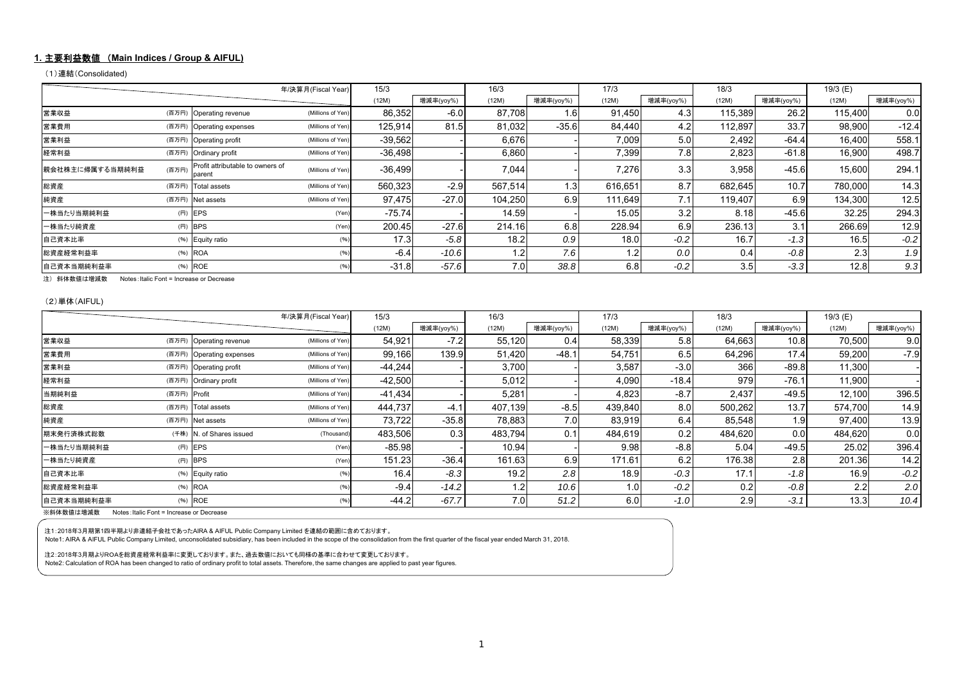#### **1.** 主要利益数値 (**Main Indices / Group & AIFUL)**

(1)連結(Consolidated)

|                 |       |                                            | 年/決算月(Fiscal Year) | 15/3      |           | 16/3    |           | 17/3    |           | 18/3    |           | 19/3 (E) |           |
|-----------------|-------|--------------------------------------------|--------------------|-----------|-----------|---------|-----------|---------|-----------|---------|-----------|----------|-----------|
|                 |       |                                            |                    | (12M)     | 增減率(yoy%) | (12M)   | 增減率(yoy%) | (12M)   | 増減率(yoy%) | (12M)   | 増減率(yoy%) | (12M)    | 増減率(yoy%) |
| 営業収益            |       | (百万円) Operating revenue                    | (Millions of Yen)  | 86,352    | $-6.0$    | 87,708  | l.61      | 91,450  | 4.3       | 115,389 | 26.2      | 115.400  | 0.0       |
| 営業費用            |       | (百万円) Operating expenses                   | (Millions of Yen)  | 125,914   | 81.5      | 81,032  | $-35.6$   | 84,440  | 4.2       | 112,897 | 33.7      | 98,900   | $-12.4$   |
| 営業利益            |       | (百万円) Operating profit                     | (Millions of Yen)  | $-39,562$ |           | 6,676   |           | 7,009   | 5.0       | 2,492   | $-64.4$   | 16,400   | 558.1     |
| 経常利益            |       | (百万円) Ordinary profit                      | (Millions of Yen)  | $-36,498$ |           | 6,860   |           | 7.399   | 7.8       | 2,823   | $-61.8$   | 16,900   | 498.7     |
| 親会社株主に帰属する当期純利益 | (百万円) | Profit attributable to owners of<br>parent | (Millions of Yen)  | $-36,499$ |           | 7,044   |           | 7,276   | 3.3       | 3,958   | $-45.6$   | 15,600   | 294.1     |
| 総資産             | (百万円) | Total assets                               | (Millions of Yen)  | 560,323   | $-2.9$    | 567.514 | . 31      | 616,651 | 8.7       | 682,645 | 10.7      | 780,000  | 14.3      |
| 純資産             | (百万円) | Net assets                                 | (Millions of Yen)  | 97,475    | $-27.0$   | 104,250 | 6.9       | 111,649 | 7.1       | 119,407 | 6.9       | 134,300  | 12.5      |
| 一株当たり当期純利益      | (円)   | EPS                                        | (Yen)              | $-75.74$  |           | 14.59   |           | 15.05   | 3.2       | 8.18    | $-45.6$   | 32.25    | 294.3     |
| 一株当たり純資産        |       | $(H)$ BPS                                  | (Yen)              | 200.45    | $-27.6$   | 214.16  | 6.8       | 228.94  | 6.9       | 236.13  | 3.1       | 266.69   | 12.9      |
| 自己資本比率          |       | (%) Equity ratio                           |                    | 17.3      | $-5.8$    | 18.2    | 0.9       | 18.0    | $-0.2$    | 16.7    | $-1.3$    | 16.5     | $-0.2$    |
| 総資産経常利益率        |       | (%) ROA                                    | (96)               | $-6.4$    | $-10.6$   | 1.2     | 7.6       | 1.2     | 0.0       | 0.4     | $-0.8$    | 2.3      | 1.9       |
| 自己資本当期純利益率      |       | (%) ROE                                    | (96)               | $-31.8$   | $-57.6$   | 7.0     | 38.8      | 6.8     | $-0.2$    | 3.5     | $-3.3$    | 12.8     | 9.3       |

注) 斜体数値は増減数 Notes:Italic Font = Increase or Decrease

(2)単体(AIFUL)

|            | 年/決算月(Fiscal Year) | 15/3                     |                   | 16/3      |           | 17/3    |           | 18/3    |           | 19/3 (E) |           |         |           |
|------------|--------------------|--------------------------|-------------------|-----------|-----------|---------|-----------|---------|-----------|----------|-----------|---------|-----------|
|            |                    |                          |                   | (12M)     | 増減率(yoy%) | (12M)   | 增减率(yoy%) | (12M)   | 増減率(yoy%) | (12M)    | 増減率(yoy%) | (12M)   | 増減率(yoy%) |
| 営業収益       |                    | (百万円) Operating revenue  | (Millions of Yen) | 54,921    | $-7.2$    | 55,120  | 0.4       | 58,339  | 5.8       | 64,663   | 10.8      | 70,500  | 9.0       |
| 営業費用       |                    | (百万円) Operating expenses | (Millions of Yen) | 99,166    | 139.9     | 51,420  | $-48.1$   | 54,751  | 6.5       | 64,296   | 17.4      | 59,200  | $-7.9$    |
| 営業利益       |                    | (百万円) Operating profit   | (Millions of Yen) | $-44.244$ |           | 3,700   |           | 3,587   | $-3.0$    | 366      | $-89.8$   | 11,300  |           |
| 経常利益       |                    | (百万円) Ordinary profit    | (Millions of Yen) | $-42,500$ |           | 5,012   |           | 4,090   | $-18.4$   | 979      | $-76.1$   | 11,900  |           |
| 当期純利益      | (百万円) Profit       |                          | (Millions of Yen) | $-41,434$ |           | 5,281   |           | 4,823   | $-8.7$    | 2,437    | $-49.5$   | 12,100  | 396.5     |
| 総資産        |                    | (百万円) Total assets       | (Millions of Yen) | 444.737   | $-4.1$    | 407.139 | $-8.5$    | 439,840 | 8.0       | 500,262  | 13.7      | 574,700 | 14.9      |
| 純資産        |                    | (百万円) Net assets         | (Millions of Yen) | 73,722    | $-35.8$   | 78,883  | 7.0       | 83,919  | 6.4       | 85,548   | 1.9       | 97,400  | 13.9      |
| 期末発行済株式総数  |                    | (千株) N. of Shares issued | (Thousand)        | 483,506   | 0.3       | 483.794 | 0.1       | 484.619 | 0.2       | 484.620  | 0.0       | 484.620 | 0.0       |
| 一株当たり当期純利益 |                    | $(H)$ EPS                | (Yen)             | $-85.98$  |           | 10.94   |           | 9.98    | $-8.8$    | 5.04     | $-49.5$   | 25.02   | 396.4     |
| 一株当たり純資産   |                    | $(H)$ BPS                | (Yen)             | 151.23    | $-36.4$   | 161.63  | 6.9       | 171.61  | 6.2       | 176.38   | 2.8       | 201.36  | 14.2      |
| 自己資本比率     |                    | (%) Equity ratio         |                   | 16.4      | $-8.3$    | 19.2    | 2.8       | 18.9    | $-0.3$    | 17.1     | $-1.8$    | 16.9    | $-0.2$    |
| 総資産経常利益率   |                    | $(%)$ ROA                |                   | $-9.4$    | $-14.2$   | 1.2     | 10.6      | 1.0     | $-0.2$    | 0.2      | $-0.8$    | 2.2     | 2.0       |
| 自己資本当期純利益率 |                    | (%) ROE                  |                   | $-44.2$   | $-67.7$   | 7.0     | 51.2      | 6.0     | $-1.0$    | 2.9      | $-3.1$    | 13.3    | 10.4      |

※斜体数値は増減数 Notes:Italic Font = Increase or Decrease

注1:2018年3月期第1四半期より非連結子会社であったAIRA & AIFUL Public Company Limited を連結の範囲に含めております。

Note1: AIRA & AIFUL Public Company Limited, unconsolidated subsidiary, has been included in the scope of the consolidation from the first quarter of the fiscal year ended March 31, 2018.

注2:2018年3月期よりROAを総資産経常利益率に変更しております。また、過去数値においても同様の基準に合わせて変更しております。

Note2: Calculation of ROA has been changed to ratio of ordinary profit to total assets. Therefore, the same changes are applied to past year figures.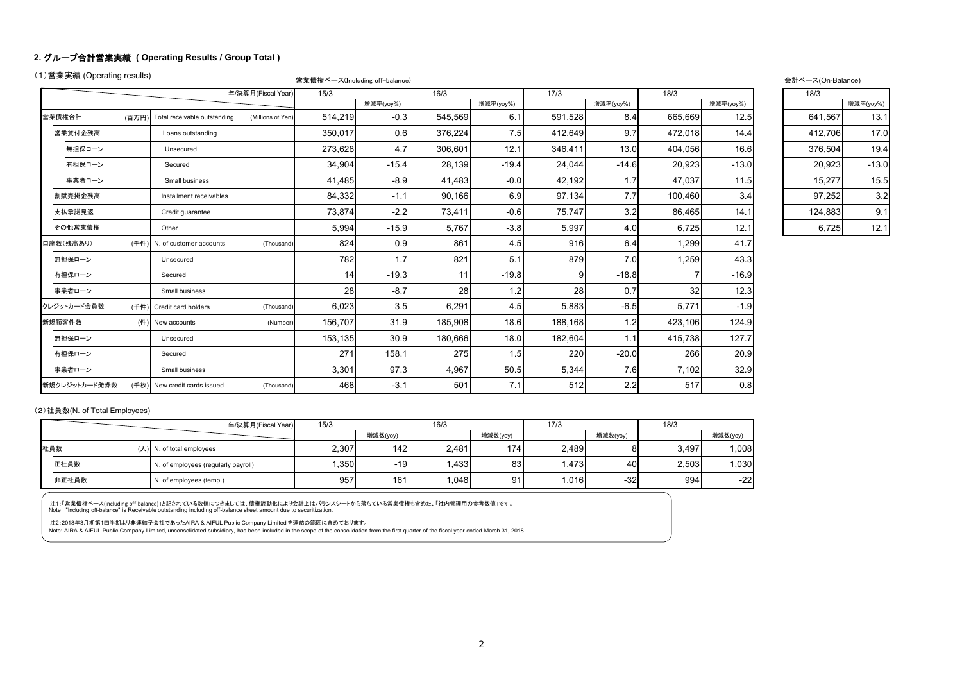#### **2.** グループ合計営業実績 **( Operating Results / Group Total )**

```
(1)営業実績 (Operating results) 営業債権ベース(Including off-balance) 会計ベース(On-Balance)
```

|               |      |                              | 年/決算月(Fiscal Year) | 15/3    |           | 16/3    |           | 17/3    |           | 18/3    |           | 18/3    |           |
|---------------|------|------------------------------|--------------------|---------|-----------|---------|-----------|---------|-----------|---------|-----------|---------|-----------|
|               |      |                              |                    |         | 增減率(yoy%) |         | 增減率(yoy%) |         | 增減率(yoy%) |         | 增減率(yoy%) |         | 增減率(yoy%) |
| 営業債権合計        | (百万円 | Total receivable outstanding | (Millions of Yen)  | 514,219 | $-0.3$    | 545,569 | 6.1       | 591,528 | 8.4       | 665,669 | 12.5      | 641.567 | 13.1      |
| 営業貸付金残高       |      | Loans outstanding            |                    | 350,017 | 0.6       | 376,224 | 7.5       | 412,649 | 9.7       | 472,018 | 14.4      | 412,706 | 17.0      |
| 無担保ローン        |      | Unsecured                    |                    | 273,628 | 4.7       | 306,601 | 12.1      | 346,411 | 13.0      | 404,056 | 16.6      | 376,504 | 19.4      |
| 有担保ローン        |      | Secured                      |                    | 34,904  | $-15.4$   | 28,139  | $-19.4$   | 24,044  | $-14.6$   | 20,923  | $-13.0$   | 20,923  | $-13.0$   |
| 事業者ローン        |      | Small business               |                    | 41,485  | $-8.9$    | 41,483  | $-0.0$    | 42,192  | 1.7       | 47.037  | 11.5      | 15,277  | 15.5      |
| 割賦売掛金残高       |      | Installment receivables      |                    | 84,332  | $-1.1$    | 90,166  | 6.9       | 97,134  | 7.7       | 100,460 | 3.4       | 97,252  | 3.2       |
| 支払承諾見返        |      | Credit guarantee             |                    | 73,874  | $-2.2$    | 73,411  | $-0.6$    | 75,747  | 3.2       | 86,465  | 14.1      | 124,883 | 9.1       |
| その他営業債権       |      | Other                        |                    | 5,994   | $-15.9$   | 5,767   | $-3.8$    | 5,997   | 4.0       | 6,725   | 12.1      | 6,725   | 12.1      |
| 口座数(残高あり)     | (千件) | N. of customer accounts      | (Thousand)         | 824     | 0.9       | 861     | 4.5       | 916     | 6.4       | 1,299   | 41.7      |         |           |
| 無担保ローン        |      | Unsecured                    |                    | 782     | 1.7       | 821     | 5.1       | 879     | 7.0       | 1,259   | 43.3      |         |           |
| 有担保ローン        |      | Secured                      |                    | 14      | $-19.3$   | 11      | $-19.8$   |         | $-18.8$   |         | $-16.9$   |         |           |
| 事業者ローン        |      | Small business               |                    | 28      | $-8.7$    | 28      | 1.2       | 28      | 0.7       | 32      | 12.3      |         |           |
| クレジットカード会員数   | (千件) | Credit card holders          | (Thousand)         | 6,023   | 3.5       | 6,291   | 4.5       | 5,883   | $-6.5$    | 5,771   | $-1.9$    |         |           |
| 新規顧客件数        | (件)  | New accounts                 | (Number            | 156,707 | 31.9      | 185,908 | 18.6      | 188,168 | 1.2       | 423,106 | 124.9     |         |           |
| 無担保ローン        |      | Unsecured                    |                    | 153,135 | 30.9      | 180,666 | 18.0      | 182,604 | 1.1       | 415,738 | 127.7     |         |           |
| 有担保ローン        |      | Secured                      |                    | 271     | 158.1     | 275     | 1.5       | 220     | $-20.0$   | 266     | 20.9      |         |           |
| 事業者ローン        |      | Small business               |                    | 3,301   | 97.3      | 4,967   | 50.5      | 5,344   | 7.6       | 7,102   | 32.9      |         |           |
| 新規クレジットカード発券数 |      | (千枚) New credit cards issued | (Thousand)         | 468     | $-3.1$    | 501     | 7.1       | 512     | 2.2       | 517     | 0.8       |         |           |
|               |      |                              |                    |         |           |         |           |         |           |         |           |         |           |

#### (2)社員数(N. of Total Employees)

|       | 年/決算月(Fiscal Year)                  | 15/3  |          | 16/3  |          | 17/3  |          | 18/3  |          |
|-------|-------------------------------------|-------|----------|-------|----------|-------|----------|-------|----------|
|       |                                     |       | 增減数(yoy) |       | 增減数(yoy) |       | 增減数(yoy) |       | 增減数(yoy) |
| 社員数   | $(\lambda)$ N. of total employees   | 2,307 | 142      | 2,481 | 174      | 2,489 |          | 3,497 | 1,008    |
| 正社員数  | N. of employees (regularly payroll) | .350  | -19      | .433  | 83       | ,473  | 40       | 2,503 | 1,030    |
| 非正社員数 | N. of employees (temp.)             | 957   | 161      | .048  | Q1       | .016  | $-32$    | 994   | $-22$    |

注1:「営業債権べース(including off-balance)」と記されている数値につきましては、債権流動化により会計上はバランスシートから落ちている営業債権も含めた、「社内管理用の参考数値」です。<br>Note : "Including off-balance" is Receivable outstanding including off-balance sheet amount due to securitization.

注2:2018年3月期第1四半期より非連結子会社であったAIRA & AIFUL Public Company Limited を連結の範囲に含めております。

Note: AIRA & AIFUL Public Company Limited, unconsolidated subsidiary, has been included in the scope of the consolidation from the first quarter of the fiscal year ended March 31, 2018.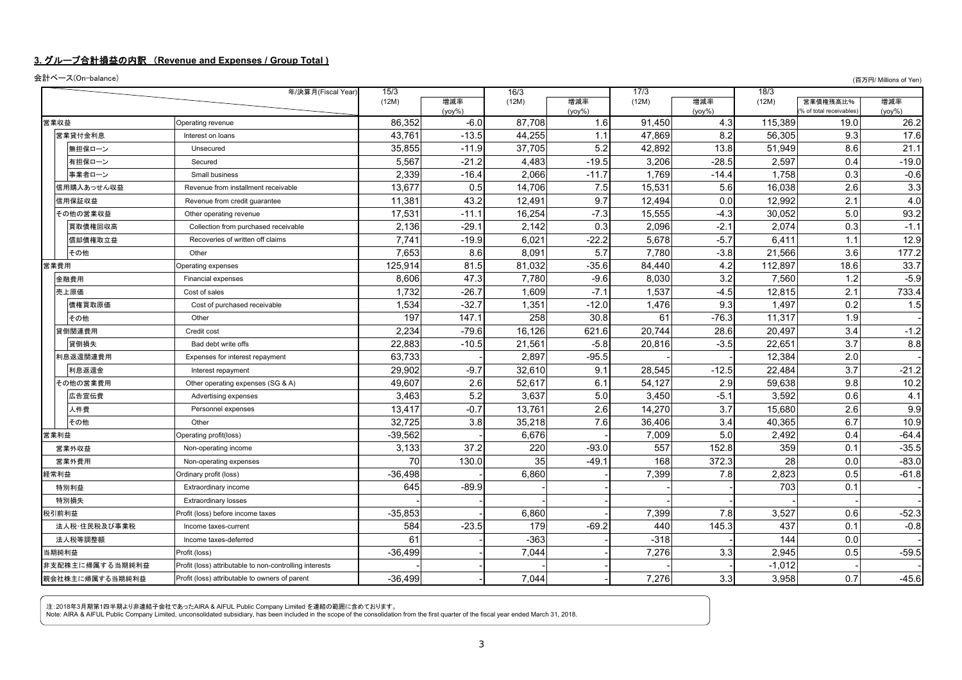#### **3.** グループ合計損益の内訳 (**Revenue and Expenses / Group Total )**

会計ベース(On-balance) (百万円/ Millions of Yen)

|      |                 | 年/決算月(Fiscal Year)                                      | 15/3      |                     | 16/3   |                  | 17/3   |                  | 18/3     |                                     |                   |
|------|-----------------|---------------------------------------------------------|-----------|---------------------|--------|------------------|--------|------------------|----------|-------------------------------------|-------------------|
|      |                 |                                                         | (12M)     | 増減率                 | (12M)  | 増減率              | (12M)  | 増減率              | (12M)    | 営業債権残高比%<br>% of total receivables) | 増減率               |
| 営業収益 |                 | Operating revenue                                       | 86,352    | $(yoy\%)$<br>$-6.0$ | 87,708 | $(yoy\%)$<br>1.6 | 91,450 | $(yoy\%)$<br>4.3 | 115,389  | 19.0                                | $(yoy\%)$<br>26.2 |
|      | 営業貸付金利息         | Interest on loans                                       | 43,761    | $-13.5$             | 44,255 | 1.1              | 47,869 | 8.2              | 56,305   | 9.3                                 | 17.6              |
|      | 無担保ローン          | Unsecured                                               | 35,855    | $-11.9$             | 37,705 | 5.2              | 42,892 | 13.8             | 51.949   | 8.6                                 | 21.1              |
|      | 有担保ローン          | Secured                                                 | 5,567     | $-21.2$             | 4,483  | $-19.5$          | 3,206  | $-28.5$          | 2,597    | 0.4                                 | $-19.0$           |
|      | 事業者ローン          | Small business                                          | 2,339     | $-16.4$             | 2,066  | $-11.7$          | 1,769  | $-14.4$          | 1.758    | 0.3                                 | $-0.6$            |
|      | 信用購入あっせん収益      | Revenue from installment receivable                     | 13.677    | 0.5                 | 14,706 | 7.5              | 15.531 | 5.6              | 16.038   | 2.6                                 | 3.3               |
|      | 信用保証収益          | Revenue from credit quarantee                           | 11,381    | 43.2                | 12,491 | 9.7              | 12,494 | 0.0              | 12,992   | 2.1                                 | 4.0               |
|      | その他の営業収益        | Other operating revenue                                 | 17,531    | $-11.1$             | 16.254 | $-7.3$           | 15,555 | $-4.3$           | 30.052   | 5.0                                 | 93.2              |
|      | 買取債権回収高         | Collection from purchased receivable                    | 2,136     | $-29.1$             | 2,142  | 0.3              | 2,096  | $-2.1$           | 2,074    | 0.3                                 | $-1.1$            |
|      | 償却債権取立益         | Recoveries of written off claims                        | 7,741     | $-19.9$             | 6,021  | $-22.2$          | 5,678  | $-5.7$           | 6,411    | 1.1                                 | 12.9              |
|      | その他             | Other                                                   | 7,653     | 8.6                 | 8,091  | $\overline{5.7}$ | 7,780  | $-3.8$           | 21,566   | 3.6                                 | 177.2             |
| 営業費用 |                 | Operating expenses                                      | 125,914   | 81.5                | 81,032 | $-35.6$          | 84,440 | 4.2              | 112,897  | 18.6                                | 33.7              |
|      | 金融費用            | Financial expenses                                      | 8.606     | 47.3                | 7.780  | $-9.6$           | 8.030  | 3.2              | 7.560    | 1.2                                 | $-5.9$            |
|      | 売上原価            | Cost of sales                                           | 1,732     | $-26.7$             | 1,609  | $-7.1$           | 1,537  | $-4.5$           | 12,815   | 2.1                                 | 733.4             |
|      | 債権買取原価          | Cost of purchased receivable                            | 1,534     | $-32.7$             | 1,351  | $-12.0$          | 1,476  | 9.3              | 1,497    | 0.2                                 | 1.5               |
|      | その他             | Other                                                   | 197       | 147.1               | 258    | 30.8             | 61     | $-76.3$          | 11,317   | 1.9                                 |                   |
|      | 貸倒関連費用          | Credit cost                                             | 2,234     | $-79.6$             | 16,126 | 621.6            | 20,744 | 28.6             | 20,497   | 3.4                                 | $-1.2$            |
|      | 貸倒損失            | Bad debt write offs                                     | 22,883    | $-10.5$             | 21,561 | $-5.8$           | 20,816 | $-3.5$           | 22,651   | 3.7                                 | 8.8               |
|      | 利息返還関連費用        | Expenses for interest repayment                         | 63,733    |                     | 2,897  | $-95.5$          |        |                  | 12,384   | 2.0                                 |                   |
|      | 利息返還金           | Interest repayment                                      | 29,902    | $-9.7$              | 32,610 | 9.1              | 28,545 | $-12.5$          | 22,484   | 3.7                                 | $-21.2$           |
|      | その他の営業費用        | Other operating expenses (SG & A)                       | 49,607    | 2.6                 | 52,617 | 6.1              | 54,127 | 2.9              | 59,638   | 9.8                                 | 10.2              |
|      | 広告宣伝費           | Advertising expenses                                    | 3,463     | 5.2                 | 3.637  | 5.0              | 3,450  | $-5.1$           | 3,592    | 0.6                                 | 4.1               |
|      | 人件費             | Personnel expenses                                      | 13,417    | $-0.7$              | 13,761 | 2.6              | 14,270 | 3.7              | 15.680   | 2.6                                 | 9.9               |
|      | その他             | Other                                                   | 32.725    | 3.8                 | 35.218 | 7.6              | 36,406 | 3.4              | 40.365   | 6.7                                 | 10.9              |
| 営業利益 |                 | Operating profit(loss)                                  | $-39,562$ |                     | 6,676  |                  | 7,009  | 5.0              | 2,492    | 0.4                                 | $-64.4$           |
|      | 営業外収益           | Non-operating income                                    | 3,133     | 37.2                | 220    | $-93.0$          | 557    | 152.8            | 359      | 0.1                                 | $-35.5$           |
|      | 営業外費用           | Non-operating expenses                                  | 70        | 130.0               | 35     | $-49.1$          | 168    | 372.3            | 28       | 0.0                                 | $-83.0$           |
| 経常利益 |                 | Ordinary profit (loss)                                  | $-36,498$ |                     | 6,860  |                  | 7,399  | 7.8              | 2,823    | 0.5                                 | $-61.8$           |
|      | 特別利益            | Extraordinary income                                    | 645       | $-89.9$             |        |                  |        |                  | 703      | 0.1                                 |                   |
|      | 特別損失            | <b>Extraordinary losses</b>                             |           |                     |        |                  |        |                  |          |                                     |                   |
|      | 税引前利益           | Profit (loss) before income taxes                       | $-35,853$ |                     | 6,860  |                  | 7,399  | 7.8              | 3,527    | 0.6                                 | $-52.3$           |
|      | 法人税・住民税及び事業税    | Income taxes-current                                    | 584       | $-23.5$             | 179    | $-69.2$          | 440    | 145.3            | 437      | 0.1                                 | $-0.8$            |
|      | 法人税等調整額         | Income taxes-deferred                                   | 61        |                     | $-363$ |                  | $-318$ |                  | 144      | 0.0                                 |                   |
|      | 当期純利益           | Profit (loss)                                           | $-36.499$ |                     | 7.044  |                  | 7,276  | 3.3              | 2.945    | 0.5                                 | $-59.5$           |
|      | 非支配株主に帰属する当期純利益 | Profit (loss) attributable to non-controlling interests |           |                     |        |                  |        |                  | $-1,012$ |                                     |                   |
|      | 親会社株主に帰属する当期純利益 | Profit (loss) attributable to owners of parent          | $-36,499$ |                     | 7.044  |                  | 7,276  | 3.3              | 3,958    | 0.7                                 | $-45.6$           |

注:2018年3月期第1四半期より非連結子会社であったAIRA & AIFUL Public Company Limited を連結の範囲に含めております。<br>Note: AIRA & AIFUL Public Company Limited, unconsolidated subsidiary, has been included in the scope of the consolidation from the first quar

3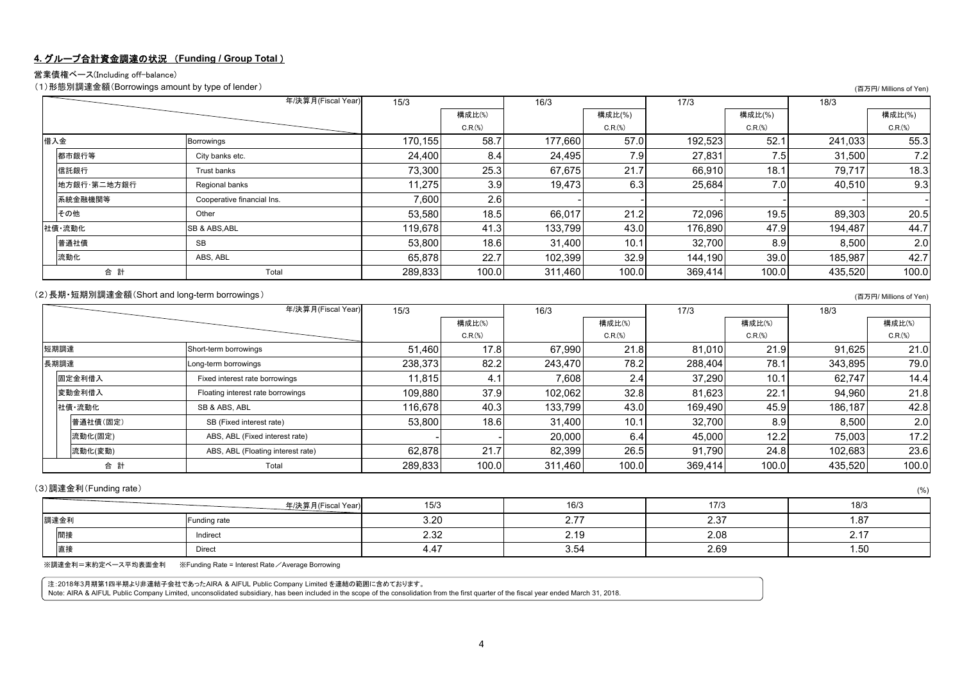#### **4.** グループ合計資金調達の状況 (**Funding / Group Total** )

#### 営業債権ベース(Including off-balance)

(1)形態別調達金額(Borrowings amount by type of lender) (百万円/ Millions of Yen)

|             | 年/決算月(Fiscal Year)         | 15/3    |         | 16/3    |         | 17/3    |         | 18/3    |         |
|-------------|----------------------------|---------|---------|---------|---------|---------|---------|---------|---------|
|             |                            |         | 構成比(%)  |         | 構成比(%)  |         | 構成比(%)  |         | 構成比(%)  |
|             |                            |         | C.R.(%) |         | C.R.(%) |         | C.R.(%) |         | C.R.(%) |
| 借入金         | Borrowings                 | 170,155 | 58.7    | 177.660 | 57.0    | 192,523 | 52.1    | 241,033 | 55.3    |
| 都市銀行等       | City banks etc.            | 24,400  | 8.4     | 24,495  | 7.9     | 27,831  | 7.5     | 31,500  | 7.2     |
| 信託銀行        | Trust banks                | 73,300  | 25.3    | 67,675  | 21.7    | 66,910  | 18.1    | 79.717  | 18.3    |
| 地方銀行·第二地方銀行 | Regional banks             | 11,275  | 3.9     | 19,473  | 6.3     | 25,684  | 7.0     | 40,510  | 9.3     |
| 系統金融機関等     | Cooperative financial Ins. | 7,600   | 2.6     |         |         |         |         |         |         |
| その他         | Other                      | 53,580  | 18.5    | 66,017  | 21.2    | 72,096  | 19.5    | 89,303  | 20.5    |
| 社債·流動化      | <b>SB &amp; ABS, ABL</b>   | 119.678 | 41.3    | 133,799 | 43.0    | 176,890 | 47.9    | 194,487 | 44.7    |
| 普通社債        | SB                         | 53.800  | 18.6    | 31.400  | 10.1    | 32,700  | 8.9     | 8,500   | 2.0     |
| 流動化         | ABS, ABL                   | 65,878  | 22.7    | 102,399 | 32.9    | 144.190 | 39.0    | 185,987 | 42.7    |
| 合計          | Total                      | 289,833 | 100.0   | 311,460 | 100.0   | 369,414 | 100.0   | 435,520 | 100.0   |

#### (2)長期・短期別調達金額(Short and long-term borrowings) (百万円/ Millions of Yen)

|          | 年/決算月(Fiscal Year)                |         |         | 16/3    |         | 17/3    |                  | 18/3    |         |
|----------|-----------------------------------|---------|---------|---------|---------|---------|------------------|---------|---------|
|          |                                   |         | 構成比(%)  |         | 構成比(%)  |         | 構成比(%)           |         | 構成比(%)  |
|          |                                   |         | C.R.(%) |         | C.R.(%) |         | C.R.(%)          |         | C.R.(%) |
| 短期調達     | Short-term borrowings             | 51,460  | 17.8    | 67,990  | 21.8    | 81.010  | 21.9             | 91,625  | 21.0    |
| 長期調達     | Long-term borrowings              | 238,373 | 82.2    | 243,470 | 78.2    | 288,404 | 78.1             | 343,895 | 79.0    |
| 固定金利借入   | Fixed interest rate borrowings    | 11,815  | 4.1     | 7,608   | 2.4     | 37.290  | 10.1             | 62.747  | 14.4    |
| 変動金利借入   | Floating interest rate borrowings | 109,880 | 37.9    | 102.062 | 32.8    | 81.623  | 22.1             | 94,960  | 21.8    |
| 社債·流動化   | SB & ABS, ABL                     | 116,678 | 40.3    | 133,799 | 43.0    | 169,490 | 45.9             | 186.187 | 42.8    |
| 普通社債(固定) | SB (Fixed interest rate)          | 53,800  | 18.6    | 31,400  | 10.1    | 32.700  | 8.9 <sub>l</sub> | 8,500   | 2.0     |
| 流動化(固定)  | ABS, ABL (Fixed interest rate)    |         |         | 20,000  | 6.4     | 45,000  | 12.2             | 75.003  | 17.2    |
| 流動化(変動)  | ABS, ABL (Floating interest rate) | 62.878  | 21.7    | 82.399  | 26.5    | 91.790  | 24.8             | 102.683 | 23.6    |
| 合 計      | Total                             | 289,833 | 100.0   | 311,460 | 100.0   | 369,414 | 100.0            | 435,520 | 100.0   |

#### (3)調達金利(Funding rate) (%)

|      | 年/決算月(Fiscal Year) | 15/3         | 16/3                             | $\rightarrow -$<br>111 | 18/3                           |
|------|--------------------|--------------|----------------------------------|------------------------|--------------------------------|
| 調達金利 | Funding rate       | 3.20         | $\sim$ $\rightarrow$<br><u>.</u> | $\sim$ $\sim$<br>ت. ک  | $\sim$<br>$\cdot$ . O $\prime$ |
| 間接   | Indirect           | 0.00<br>L.JL | 2.19                             | 2.08                   | <u>.</u>                       |
| 直接   | Direct             | 4.4,         | -3.54                            | 2.69                   | $\sim$<br>1.5C                 |

※調達金利=末約定ベース平均表面金利 ※Funding Rate = Interest Rate/Average Borrowing

注:2018年3月期第1四半期より非連結子会社であったAIRA & AIFUL Public Company Limited を連結の範囲に含めております。<br>Note: AIRA & AIFUL Public Company Limited, unconsolidated subsidiary, has been included in the scope of the consolidation from the first quar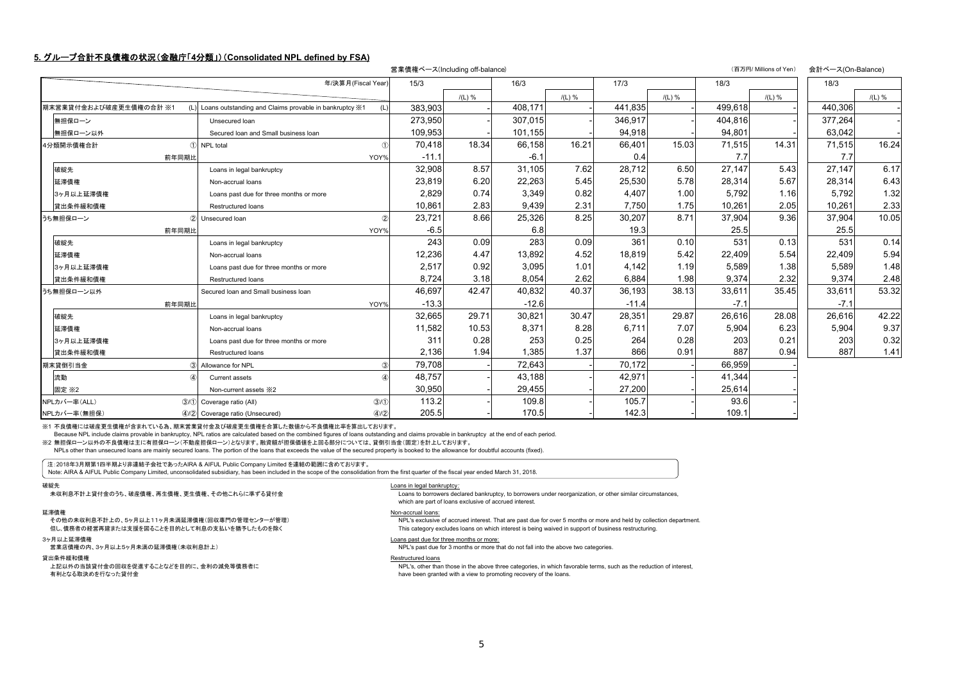#### **5.** グループ合計不良債権の状況(金融庁「**4**分類」)(**Consolidated NPL defined by FSA)**

|                        |                                                            | 営業債権ベース(Including off-balance) |          |         |          |         |          |         | (百万円/ Millions of Yen) | 会計ベース(On-Balance) |          |
|------------------------|------------------------------------------------------------|--------------------------------|----------|---------|----------|---------|----------|---------|------------------------|-------------------|----------|
|                        | 年/決算月(Fiscal Year                                          | 15/3                           |          | 16/3    |          | 17/3    |          | 18/3    |                        | 18/3              |          |
|                        |                                                            |                                | $I(L)$ % |         | $I(L)$ % |         | $/(L)$ % |         | $I(L)$ %               |                   | $/(L)$ % |
| 期末営業貸付金および破産更生債権の合計 ※1 | (L) Loans outstanding and Claims provable in bankruptcy X1 | 383.903                        |          | 408.171 |          | 441.835 |          | 499.618 |                        | 440.306           |          |
| 無担保ローン                 | Unsecured loan                                             | 273,950                        |          | 307,015 |          | 346,917 |          | 404,816 |                        | 377,264           |          |
| 無担保ローン以外               | Secured loan and Small business loan                       | 109.953                        |          | 101,155 |          | 94,918  |          | 94,801  |                        | 63.042            |          |
| 4分類開示債権合計              | 1 NPL total<br>$\bigcirc$                                  | 70,418                         | 18.34    | 66,158  | 16.21    | 66,401  | 15.03    | 71,515  | 14.31                  | 71,515            | 16.24    |
| 前年同期比                  | YOY%                                                       | $-11.1$                        |          | $-6.1$  |          | 0.4     |          | 7.7     |                        | 7.7               |          |
| 破綻先                    | Loans in legal bankruptcy                                  | 32,908                         | 8.57     | 31.105  | 7.62     | 28.712  | 6.50     | 27.147  | 5.43                   | 27.147            | 6.17     |
| 延滞債権                   | Non-accrual loans                                          | 23,819                         | 6.20     | 22,263  | 5.45     | 25,530  | 5.78     | 28,314  | 5.67                   | 28,314            | 6.43     |
| 3ヶ月以上延滞債権              | Loans past due for three months or more                    | 2,829                          | 0.74     | 3.349   | 0.82     | 4.407   | 1.00     | 5.792   | 1.16                   | 5.792             | 1.32     |
| 貸出条件緩和債権               | Restructured loans                                         | 10,861                         | 2.83     | 9.439   | 2.31     | 7.750   | 1.75     | 10,261  | 2.05                   | 10,261            | 2.33     |
| うち無担保ローン               | 2 Unsecured Ioan                                           | 23.721                         | 8.66     | 25,326  | 8.25     | 30.207  | 8.71     | 37.904  | 9.36                   | 37.904            | 10.05    |
| 前年同期比                  | YOY%                                                       | $-6.5$                         |          | 6.8     |          | 19.3    |          | 25.5    |                        | 25.5              |          |
| 破綻先                    | Loans in legal bankruptcy                                  | 243                            | 0.09     | 283     | 0.09     | 361     | 0.10     | 531     | 0.13                   | 531               | 0.14     |
| 延滞債権                   | Non-accrual loans                                          | 12,236                         | 4.47     | 13,892  | 4.52     | 18,819  | 5.42     | 22,409  | 5.54                   | 22,409            | 5.94     |
| 3ヶ月以上延滞債権              | Loans past due for three months or more                    | 2,517                          | 0.92     | 3,095   | 1.01     | 4.142   | 1.19     | 5,589   | 1.38                   | 5,589             | 1.48     |
| 貸出条件緩和債権               | Restructured loans                                         | 8,724                          | 3.18     | 8,054   | 2.62     | 6,884   | 1.98     | 9,374   | 2.32                   | 9,374             | 2.48     |
| うち無担保ローン以外             | Secured Ioan and Small business Ioan                       | 46,697                         | 42.47    | 40,832  | 40.37    | 36,193  | 38.13    | 33,611  | 35.45                  | 33,611            | 53.32    |
| 前年同期比                  | YOY%                                                       | $-13.3$                        |          | $-12.6$ |          | $-11.4$ |          | $-7.1$  |                        | $-7.1$            |          |
| 破綻先                    | Loans in legal bankruptcy                                  | 32,665                         | 29.71    | 30,821  | 30.47    | 28,351  | 29.87    | 26,616  | 28.08                  | 26,616            | 42.22    |
| 延滞債権                   | Non-accrual loans                                          | 11,582                         | 10.53    | 8.371   | 8.28     | 6.711   | 7.07     | 5.904   | 6.23                   | 5,904             | 9.37     |
| 3ヶ月以上延滞債権              | Loans past due for three months or more                    | 311                            | 0.28     | 253     | 0.25     | 264     | 0.28     | 203     | 0.21                   | 203               | 0.32     |
| 貸出条件緩和債権               | Restructured loans                                         | 2,136                          | 1.94     | 1.385   | 1.37     | 866     | 0.91     | 887     | 0.94                   | 887               | 1.41     |
| 期末貸倒引当金                | 3 Allowance for NPL<br>3                                   | 79,708                         |          | 72,643  |          | 70,172  |          | 66,959  |                        |                   |          |
| 流動                     | $\alpha$<br>Current assets                                 | 48.757                         |          | 43.188  |          | 42,971  |          | 41,344  |                        |                   |          |
| 固定 ※2                  | Non-current assets *2                                      | 30.950                         |          | 29,455  |          | 27,200  |          | 25,614  |                        |                   |          |
| NPLカバー率(ALL)           | (3)(1)<br>3/1 Coverage ratio (All)                         | 113.2                          |          | 109.8   |          | 105.7   |          | 93.6    |                        |                   |          |
| NPLカバー率 (無担保)          | (4)/2<br>4/2 Coverage ratio (Unsecured)                    | 205.5                          |          | 170.5   |          | 142.3   |          | 109.1   |                        |                   |          |

※1 不良債権には破産更生債権が含まれている為、期末営業貸付金及び破産更生債権を合算した数値から不良債権比率を算出しております。

Because NPL include claims provable in bankruptcy, NPL ratios are calculated based on the combined figures of loans outstanding and claims provable in bankruptcy at the end of each period.

※2 無担保ローン以外の不良債権は主に有担保ローン(不動産担保ローン)となります。融資額が担保価値を上回る部分については、貸倒引当金(固定)を計上しております。

NPLs other than unsecured loans are mainly secured loans. The portion of the loans that exceeds the value of the secured property is booked to the allowance for doubtful accounts (fixed).

注:2018年3月期第1四半期より非連結子会社であったAIRA & AIFUL Public Company Limited を連結の範囲に含めております。

Note: AIRA & AIFUL Public Company Limited, unconsolidated subsidiary, has been included in the scope of the consolidation from the first quarter of the fiscal year ended March 31, 2018.

#### 破綻先

-----<br>未収利息不計上貸付金のうち、破産債権、再生債権、更生債権、その他これらに準ずる貸付金

#### 延滞債権

滞債権<br>その他の未収利息不計上の、5ヶ月以上11ヶ月未満延滞債権(回収専門の管理センターが管理) NOn-accrual loans:

但し、債務者の経営再建または支援を図ることを目的として利息の支払いを猶予したものを除く

## 3ヶ月以上延滞債権<br>営業店債権の内、3ヶ月以上5ヶ月未満の延滞債権(未収利息計上)

#### 貸出条件緩和債権

 上記以外の当該貸付金の回収を促進することなどを目的に、金利の減免等債務者に有利となる取決めを行なった貸付金

#### Loans in legal bankruptcy*:*

 Loans to borrowers declared bankruptcy, to borrowers under reorganization, or other similar circumstances, which are part of loans exclusive of accrued interest.

**INPL's exclusive of accrued interest.** That are past due for over 5 months or more and held by collection department. This category excludes loans on which interest is being waived in support of business restructuring.

#### Loans past due for three months or more:

**INPL's past due for 3 months or more that do not fall into the above two categories.** 

#### Restructured loans

 NPL's, other than those in the above three categories, in which favorable terms, such as the reduction of interest, have been granted with a view to promoting recovery of the loans.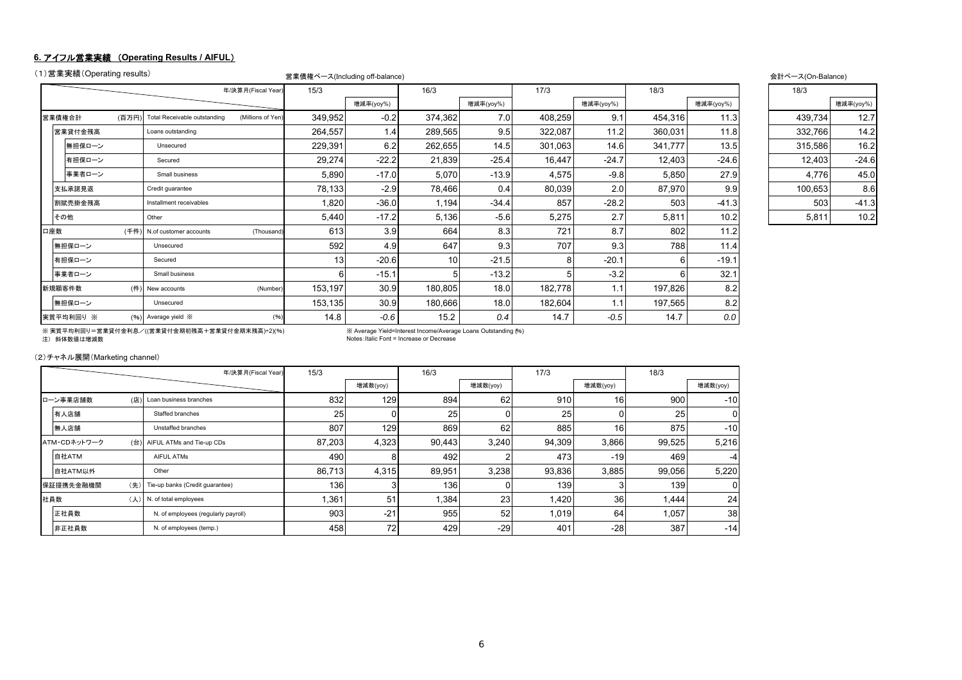#### **6.** アイフル営業実績 (**Operating Results / AIFUL**)

|        | (1)営業実績(Operating results) |      |                              |                    | 営業債権ベース(Including off-balance) |           |         |           |         |           |         |           | 会計ベース(On-Balance) |           |
|--------|----------------------------|------|------------------------------|--------------------|--------------------------------|-----------|---------|-----------|---------|-----------|---------|-----------|-------------------|-----------|
|        |                            |      |                              | 年/決算月(Fiscal Year) | 15/3                           |           | 16/3    |           | 17/3    |           | 18/3    |           | 18/3              |           |
|        |                            |      |                              |                    |                                | 增減率(yoy%) |         | 增減率(yoy%) |         | 增減率(yoy%) |         | 增減率(yoy%) |                   | 增減率(yoy%) |
| 営業債権合計 |                            | (百万円 | Total Receivable outstanding | (Millions of Yen)  | 349,952                        | $-0.2$    | 374,362 | 7.0       | 408,259 | 9.1       | 454,316 | 11.3      | 439,734           | 12.7      |
|        | 営業貸付金残高                    |      | Loans outstanding            |                    | 264,557                        | 1.4       | 289,565 | 9.5       | 322,087 | 11.2      | 360,031 | 11.8      | 332,766           | 14.2      |
|        | 無担保ローン                     |      | Unsecured                    |                    | 229,391                        | 6.2       | 262,655 | 14.5      | 301,063 | 14.6      | 341,777 | 13.5      | 315,586           | 16.2      |
|        | 有担保ローン                     |      | Secured                      |                    | 29,274                         | $-22.2$   | 21,839  | $-25.4$   | 16,447  | $-24.7$   | 12,403  | $-24.6$   | 12,403            | $-24.6$   |
|        | 事業者ローン                     |      | Small business               |                    | 5,890                          | $-17.0$   | 5,070   | $-13.9$   | 4,575   | $-9.8$    | 5,850   | 27.9      | 4,776             | 45.0      |
|        | 支払承諾見返                     |      | Credit quarantee             |                    | 78,133                         | $-2.9$    | 78,466  | 0.4       | 80,039  | 2.0       | 87,970  | 9.9       | 100,653           | 8.6       |
|        | 割賦売掛金残高                    |      | Installment receivables      |                    | 1,820                          | $-36.0$   | 1,194   | $-34.4$   | 857     | $-28.2$   | 503     | $-41.3$   | 503               | $-41.3$   |
| その他    |                            |      | Other                        |                    | 5,440                          | $-17.2$   | 5,136   | $-5.6$    | 5,275   | 2.7       | 5,811   | 10.2      | 5,811             | 10.2      |
| 口座数    |                            | (千件) | N.of customer accounts       | (Thousand)         | 613                            | 3.9       | 664     | 8.3       | 721     | 8.7       | 802     | 11.2      |                   |           |
|        | 無担保ローン                     |      | Unsecured                    |                    | 592                            | 4.9       | 647     | 9.3       | 707     | 9.3       | 788     | 11.4      |                   |           |
|        | 有担保ローン                     |      | Secured                      |                    | 13                             | $-20.6$   | 10      | $-21.5$   | 8       | $-20.1$   | ĥ       | $-19.1$   |                   |           |
|        | 事業者ローン                     |      | Small business               |                    | ิค                             | $-15.1$   |         | $-13.2$   | 5       | $-3.2$    | 6       | 32.1      |                   |           |
| 新規顧客件数 |                            | (件)  | New accounts                 | (Number)           | 153,197                        | 30.9      | 180,805 | 18.0      | 182,778 | 1.1       | 197,826 | 8.2       |                   |           |
|        | 無担保ローン                     |      | Unsecured                    |                    | 153,135                        | 30.9      | 180,666 | 18.0      | 182,604 | 1.1       | 197,565 | 8.2       |                   |           |
|        | 実質平均利回り ※                  |      | (%) Average yield X          | (96)               | 14.8                           | $-0.6$    | 15.2    | 0.4       | 14.7    | $-0.5$    | 14.7    | 0.0       |                   |           |

| 18/3    |           |
|---------|-----------|
|         | 增減率(yoy%) |
| 439,734 | 12.7      |
| 332,766 | 14.2      |
| 315,586 | 16.2      |
| 12,403  | $-24.6$   |
| 4,776   | 45.0      |
| 100,653 | 8.6       |
| 503     | $-41.3$   |
| 5.811   | 10.2      |

※ 実質平均利回り=営業貸付金利息/((営業貸付金期初残高+営業貸付金期末残高)÷2)(%) ※ Average Yield=Interest Income/Average Loans Outstanding (%) 注) 斜体数値は増減数

**EXA Average Yield=Interest Income/Average Loans Outstanding (%)**<br>Notes: Italic Font = Increase or Decrease

(2)チャネル展開(Marketing channel)

|              |     | 年/決算月(Fiscal Year)                  | 15/3   |          | 16/3   |          | 17/3   |                 | 18/3   |          |
|--------------|-----|-------------------------------------|--------|----------|--------|----------|--------|-----------------|--------|----------|
|              |     |                                     |        | 增減数(yoy) |        | 增減数(yoy) |        | 增減数(yoy)        |        | 增減数(yoy) |
| ローン事業店舗数     | (店) | Loan business branches              | 832    | 129      | 894    | 62       | 910    | 16 <sub>1</sub> | 900    | $-10$    |
| 有人店舗         |     | Staffed branches                    | 25     |          | 25     |          | 25     |                 | 25     |          |
| 無人店舗         |     | Unstaffed branches                  | 807    | 129      | 869    | 62       | 885    | 16 <sup>1</sup> | 875    | $-10$    |
| ATM·CDネットワーク | (台) | AIFUL ATMs and Tie-up CDs           | 87,203 | 4,323    | 90,443 | 3,240    | 94,309 | 3,866           | 99,525 | 5,216    |
| 自社ATM        |     | <b>AIFUL ATMS</b>                   | 490    |          | 492    |          | 473    | $-19I$          | 469    | -4       |
| 自社ATM以外      |     | Other                               | 86,713 | 4,315    | 89,951 | 3,238    | 93,836 | 3,885           | 99,056 | 5,220    |
| 保証提携先金融機関    | (先) | Tie-up banks (Credit quarantee)     | 1361   |          | 136    |          | 139    |                 | 139    | 0        |
| 社員数          | (人) | N. of total employees               | 1,361  | 51       | 1,384  | 23       | 1,420  | 36              | 1,444  | 24       |
| 正社員数         |     | N. of employees (regularly payroll) | 903    | $-21$    | 955    | 52       | 1,019  | 64              | 1,057  | 38       |
| 非正社員数        |     | N. of employees (temp.)             | 458    | 72       | 429    | $-29$    | 401    | $-28$           | 387    | $-14$    |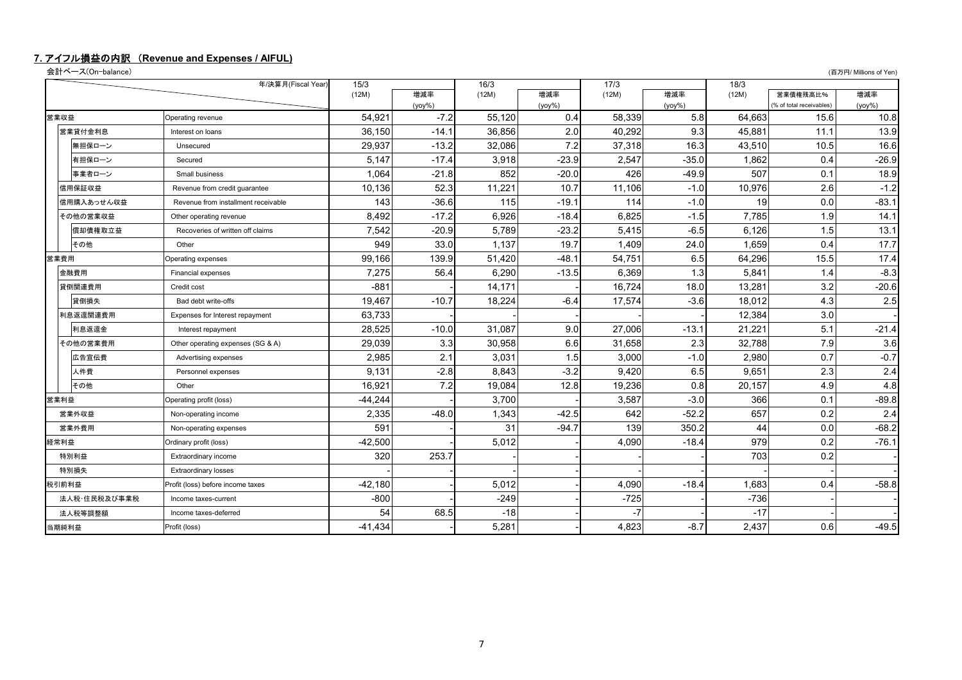### **7.** アイフル損益の内訳 (**Revenue and Expenses / AIFUL)**

会計ベース(On-balance) (百万円/ Millions of Yen)

|      |              | 年/決算月(Fiscal Year)                  | 15/3      |           | 16/3   |           | 17/3   |           | 18/3   |                          |           |
|------|--------------|-------------------------------------|-----------|-----------|--------|-----------|--------|-----------|--------|--------------------------|-----------|
|      |              |                                     | (12M)     | 増減率       | (12M)  | 増減率       | (12M)  | 増減率       | (12M)  | 営業債権残高比%                 | 増減率       |
|      |              |                                     |           | $(yoy\%)$ |        | $(yoy\%)$ |        | $(yoy\%)$ |        | (% of total receivables) | $(yoy\%)$ |
| 営業収益 |              | Operating revenue                   | 54,921    | $-7.2$    | 55.120 | 0.4       | 58,339 | 5.8       | 64.663 | 15.6                     | 10.8      |
|      | 営業貸付金利息      | Interest on loans                   | 36,150    | $-14.1$   | 36.856 | 2.0       | 40,292 | 9.3       | 45.881 | 11.1                     | 13.9      |
|      | 無担保ローン       | Unsecured                           | 29,937    | $-13.2$   | 32,086 | 7.2       | 37,318 | 16.3      | 43,510 | 10.5                     | 16.6      |
|      | 有担保ローン       | Secured                             | 5,147     | $-17.4$   | 3,918  | $-23.9$   | 2,547  | $-35.0$   | 1.862  | 0.4                      | $-26.9$   |
|      | 事業者ローン       | Small business                      | 1,064     | $-21.8$   | 852    | $-20.0$   | 426    | $-49.9$   | 507    | 0.1                      | 18.9      |
|      | 信用保証収益       | Revenue from credit quarantee       | 10,136    | 52.3      | 11,221 | 10.7      | 11,106 | $-1.0$    | 10,976 | 2.6                      | $-1.2$    |
|      | 信用購入あっせん収益   | Revenue from installment receivable | 143       | $-36.6$   | 115    | $-19.1$   | 114    | $-1.0$    | 19     | 0.0                      | $-83.1$   |
|      | その他の営業収益     | Other operating revenue             | 8,492     | $-17.2$   | 6,926  | $-18.4$   | 6,825  | $-1.5$    | 7,785  | 1.9                      | 14.1      |
|      | 償却債権取立益      | Recoveries of written off claims    | 7,542     | $-20.9$   | 5,789  | $-23.2$   | 5,415  | $-6.5$    | 6,126  | 1.5                      | 13.1      |
|      | その他          | Other                               | 949       | 33.0      | 1.137  | 19.7      | 1,409  | 24.0      | 1.659  | 0.4                      | 17.7      |
| 営業費用 |              | Operating expenses                  | 99,166    | 139.9     | 51,420 | $-48.1$   | 54,751 | 6.5       | 64,296 | 15.5                     | 17.4      |
|      | 金融費用         | <b>Financial expenses</b>           | 7,275     | 56.4      | 6,290  | $-13.5$   | 6,369  | 1.3       | 5,841  | 1.4                      | $-8.3$    |
|      | 貸倒関連費用       | Credit cost                         | $-881$    |           | 14,171 |           | 16,724 | 18.0      | 13,281 | 3.2                      | $-20.6$   |
|      | 貸倒損失         | Bad debt write-offs                 | 19,467    | $-10.7$   | 18.224 | $-6.4$    | 17,574 | $-3.6$    | 18.012 | 4.3                      | 2.5       |
|      | 利息返還関連費用     | Expenses for Interest repayment     | 63,733    |           |        |           |        |           | 12,384 | 3.0                      |           |
|      | 利息返還金        | Interest repayment                  | 28,525    | $-10.0$   | 31,087 | 9.0       | 27,006 | $-13.1$   | 21,221 | 5.1                      | $-21.4$   |
|      | その他の営業費用     | Other operating expenses (SG & A)   | 29,039    | 3.3       | 30,958 | 6.6       | 31,658 | 2.3       | 32,788 | 7.9                      | 3.6       |
|      | 広告宣伝費        | Advertising expenses                | 2,985     | 2.1       | 3,031  | 1.5       | 3,000  | $-1.0$    | 2,980  | 0.7                      | $-0.7$    |
|      | 人件費          | Personnel expenses                  | 9,131     | $-2.8$    | 8.843  | $-3.2$    | 9,420  | 6.5       | 9.651  | 2.3                      | 2.4       |
|      | その他          | Other                               | 16,921    | 7.2       | 19,084 | 12.8      | 19,236 | 0.8       | 20,157 | 4.9                      | 4.8       |
| 営業利益 |              | Operating profit (loss)             | $-44,244$ |           | 3,700  |           | 3,587  | $-3.0$    | 366    | 0.1                      | $-89.8$   |
|      | 営業外収益        | Non-operating income                | 2,335     | $-48.0$   | 1,343  | $-42.5$   | 642    | $-52.2$   | 657    | 0.2                      | 2.4       |
|      | 営業外費用        | Non-operating expenses              | 591       |           | 31     | $-94.7$   | 139    | 350.2     | 44     | 0.0                      | $-68.2$   |
| 経常利益 |              | Ordinary profit (loss)              | $-42,500$ |           | 5,012  |           | 4,090  | $-18.4$   | 979    | 0.2                      | $-76.1$   |
|      | 特別利益         | Extraordinary income                | 320       | 253.7     |        |           |        |           | 703    | 0.2                      |           |
|      | 特別損失         | <b>Extraordinary losses</b>         |           |           |        |           |        |           |        |                          |           |
|      | 税引前利益        | Profit (loss) before income taxes   | $-42,180$ |           | 5,012  |           | 4,090  | $-18.4$   | 1.683  | 0.4                      | $-58.8$   |
|      | 法人税・住民税及び事業税 | Income taxes-current                | $-800$    |           | $-249$ |           | $-725$ |           | $-736$ |                          |           |
|      | 法人税等調整額      | Income taxes-deferred               | 54        | 68.5      | $-18$  |           |        |           | $-17$  |                          |           |
|      | 当期純利益        | Profit (loss)                       | $-41,434$ |           | 5,281  |           | 4,823  | $-8.7$    | 2,437  | 0.6                      | $-49.5$   |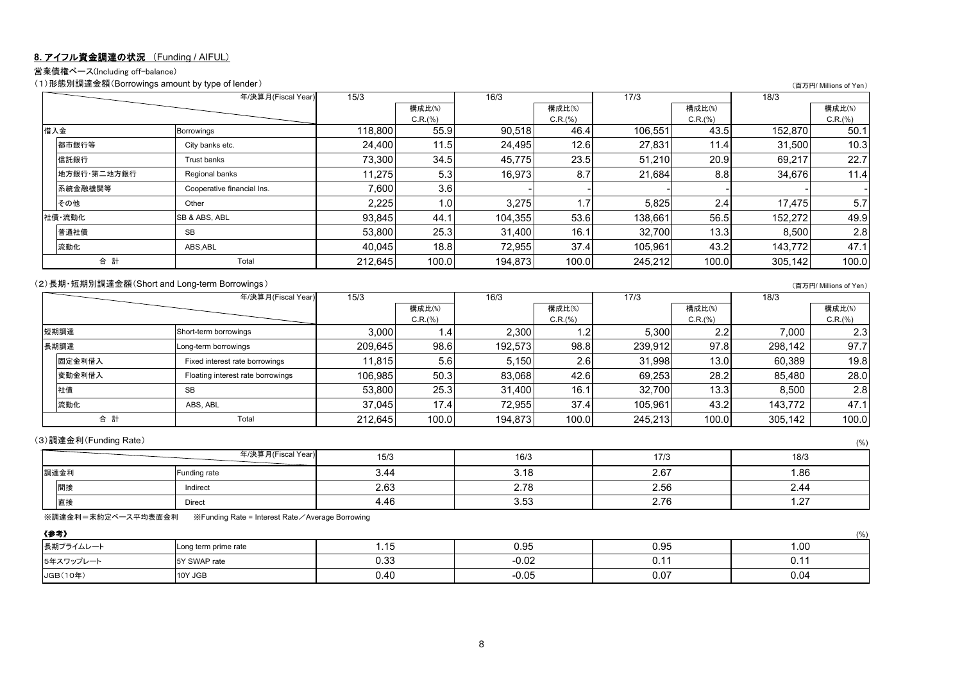### **8.** アイフル資金調達の状況 (Funding / AIFUL)

営業債権ベース(Including off-balance)

(1)形態別調達金額(Borrowings amount by type of lender) (百万円/ Millions of Yen)

|             | 年/決算月(Fiscal Year)         | 15/3    |         | 16/3    |         | 17/3    |         | 18/3    |         |
|-------------|----------------------------|---------|---------|---------|---------|---------|---------|---------|---------|
|             |                            |         | 構成比(%)  |         | 構成比(%)  |         | 構成比(%)  |         | 構成比(%)  |
|             |                            |         | C.R.(%) |         | C.R.(%) |         | C.R.(%) |         | C.R.(%) |
| 借入金         | Borrowings                 | 118.800 | 55.9    | 90,518  | 46.4    | 106,551 | 43.5    | 152.870 | 50.1    |
| 都市銀行等       | City banks etc.            | 24,400  | 11.5    | 24,495  | 12.6    | 27,831  | 11.4    | 31,500  | 10.3    |
| 信託銀行        | Trust banks                | 73,300  | 34.5    | 45,775  | 23.5    | 51.210  | 20.9    | 69,217  | 22.7    |
| 地方銀行·第二地方銀行 | Regional banks             | 11.275  | 5.3     | 16,973  | 8.7     | 21,684  | 8.8     | 34,676  | 11.4    |
| 系統金融機関等     | Cooperative financial Ins. | 7,600   | 3.6     |         |         |         |         |         |         |
| その他         | Other                      | 2,225   | 1.0     | 3,275   | 1.7     | 5,825   | 2.4     | 17.475  | 5.7     |
| 社債·流動化      | <b>SB &amp; ABS, ABL</b>   | 93,845  | 44.1    | 104,355 | 53.6    | 138,661 | 56.5    | 152,272 | 49.9    |
| 普通社債        | <b>SB</b>                  | 53,800  | 25.3    | 31,400  | 16.1    | 32,700  | 13.3    | 8,500   | 2.8     |
| 流動化         | ABS, ABL                   | 40.045  | 18.8    | 72.955  | 37.4    | 105.961 | 43.2    | 143.772 | 47.1    |
| 合計          | Total                      | 212,645 | 100.0   | 194,873 | 100.0   | 245,212 | 100.0   | 305,142 | 100.0   |

#### (2)長期 短期別調達金額(Short and Long-term Borrowings ) controlled the state of Yen and District and Long-term Borrowings )

|        | 年/決算月(Fiscal Year)                | 15/3    |                  | 16/3    |         | 17/3    |         | 18/3    |         |
|--------|-----------------------------------|---------|------------------|---------|---------|---------|---------|---------|---------|
|        |                                   |         | 構成比(%)           |         | 構成比(%)  |         | 構成比(%)  |         | 構成比(%)  |
|        |                                   |         | C.R.(%)          |         | C.R.(%) |         | C.R.(%) |         | C.R.(%) |
| 短期調達   | Short-term borrowings             | 3,000   | 1.4              | 2,300   |         | 5,300   | 2.2     | 7,000   | 2.3     |
| 長期調達   | Long-term borrowings              | 209,645 | 98.6             | 192,573 | 98.8    | 239,912 | 97.8    | 298,142 | 97.7    |
| 固定金利借入 | Fixed interest rate borrowings    | 11.815  | 5.6 <sub>1</sub> | 5,150   | 2.6     | 31.998  | 13.0    | 60,389  | 19.8    |
| 変動金利借入 | Floating interest rate borrowings | 106,985 | 50.3             | 83,068  | 42.6    | 69,253  | 28.2    | 85,480  | 28.0    |
| 社債     | <b>SB</b>                         | 53,800  | 25.3             | 31,400  | 16.1    | 32.700  | 13.3    | 8,500   | 2.8     |
| 流動化    | ABS, ABL                          | 37.045  | 17.4             | 72.955  | 37.4    | 105.961 | 43.2    | 143.772 | 47.1    |
| 合計     | Total                             | 212,645 | 100.0            | 194,873 | 100.0   | 245.213 | 100.0   | 305,142 | 100.0   |

(3)調達金利(Funding Rate) (%)

|      | 年/決算月(Fiscal Year) | 15/3         | 16/3                             | 17/3 | 18/3   |
|------|--------------------|--------------|----------------------------------|------|--------|
| 調達金利 | Funding rate       | 3.44         |                                  | 2.67 | 1.86   |
| 間接   | Indirect           | 0.00<br>2.63 | $\sim$ $\sim$ $\sim$<br><u>.</u> | 2.56 | 2.44   |
| 直接   | <b>Direct</b>      | 4.46         | 3.53                             | 2.76 | $\sim$ |

※調達金利=末約定ベース平均表面金利 ※Funding Rate = Interest Rate/Average Borrowing

| 《参考》      |                      |             |         |      | (% ) |
|-----------|----------------------|-------------|---------|------|------|
| 長期プライムレート | Long term prime rate | $-15$       | 0.95    | 0.95 | 1.00 |
| 5年スワップレー  | TY SWAP rate         | ≎ ^∩<br>∪.∪ | $-0.02$ |      | ∪. ı |
| JGB(10年)  | 10Y JGB              | 0.40        | $-0.05$ | 0.07 | 0.04 |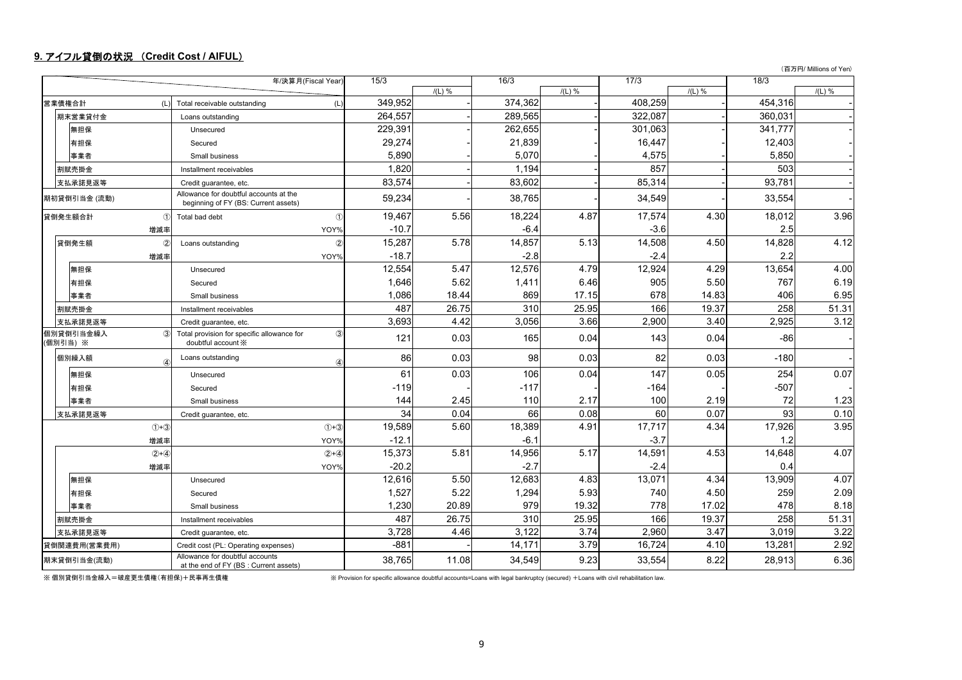### **9.** アイフル貸倒の状況 (**Credit Cost / AIFUL**)

(百万円/ Millions of Yen)

|                       | 年/決算月(Fiscal Year)                                                                     | 15/3    |          | 16/3    |          | 17/3    |          | 18/3    |          |
|-----------------------|----------------------------------------------------------------------------------------|---------|----------|---------|----------|---------|----------|---------|----------|
|                       |                                                                                        |         | $/(L)$ % |         | $/(L)$ % |         | $/(L)$ % |         | $/(L)$ % |
| 営業債権合計                | (L)<br>Total receivable outstanding<br>(L)                                             | 349,952 |          | 374,362 |          | 408.259 |          | 454,316 |          |
| 期末営業貸付金               | Loans outstanding                                                                      | 264,557 |          | 289,565 |          | 322,087 |          | 360,031 |          |
| 無担保                   | Unsecured                                                                              | 229,391 |          | 262,655 |          | 301,063 |          | 341,777 |          |
| 有担保                   | Secured                                                                                | 29,274  |          | 21,839  |          | 16,447  |          | 12,403  |          |
| 事業者                   | Small business                                                                         | 5.890   |          | 5,070   |          | 4,575   |          | 5,850   |          |
| 割賦売掛金                 | Installment receivables                                                                | 1.820   |          | 1.194   |          | 857     |          | 503     |          |
| 支払承諾見返等               | Credit guarantee, etc.                                                                 | 83,574  |          | 83,602  |          | 85,314  |          | 93,781  |          |
| 期初貸倒引当金 (流動)          | Allowance for doubtful accounts at the<br>beginning of FY (BS: Current assets)         | 59,234  |          | 38,765  |          | 34,549  |          | 33,554  |          |
| 貸倒発生額合計               | $\bigcirc$<br>$\circ$<br>Total bad debt                                                | 19.467  | 5.56     | 18,224  | 4.87     | 17,574  | 4.30     | 18,012  | 3.96     |
| 増減率                   | YOY%                                                                                   | $-10.7$ |          | $-6.4$  |          | $-3.6$  |          | 2.5     |          |
| 貸倒発生額                 | $\circled{2}$<br>$\circled{2}$<br>Loans outstanding                                    | 15,287  | 5.78     | 14,857  | 5.13     | 14,508  | 4.50     | 14,828  | 4.12     |
| 増減率                   | YOY%                                                                                   | $-18.7$ |          | $-2.8$  |          | $-2.4$  |          | 2.2     |          |
| 無担保                   | Unsecured                                                                              | 12,554  | 5.47     | 12,576  | 4.79     | 12,924  | 4.29     | 13,654  | 4.00     |
| 有担保                   | Secured                                                                                | 1,646   | 5.62     | 1,411   | 6.46     | 905     | 5.50     | 767     | 6.19     |
| 事業者                   | Small business                                                                         | 1,086   | 18.44    | 869     | 17.15    | 678     | 14.83    | 406     | 6.95     |
| 割賦売掛金                 | Installment receivables                                                                | 487     | 26.75    | 310     | 25.95    | 166     | 19.37    | 258     | 51.31    |
| 支払承諾見返等               | Credit guarantee, etc.                                                                 | 3,693   | 4.42     | 3,056   | 3.66     | 2,900   | 3.40     | 2,925   | 3.12     |
| 個別貸倒引当金繰入<br>(個別引当) ※ | $\circled{3}$<br>3<br>Total provision for specific allowance for<br>doubtful account X | 121     | 0.03     | 165     | 0.04     | 143     | 0.04     | $-86$   |          |
| 個別繰入額                 | Loans outstanding<br>$\overline{a}$<br>$\left( \mathbf{A} \right)$                     | 86      | 0.03     | 98      | 0.03     | 82      | 0.03     | $-180$  |          |
| 無担保                   | Unsecured                                                                              | 61      | 0.03     | 106     | 0.04     | 147     | 0.05     | 254     | 0.07     |
| 有担保                   | Secured                                                                                | $-119$  |          | $-117$  |          | $-164$  |          | $-507$  |          |
| 事業者                   | Small business                                                                         | 144     | 2.45     | 110     | 2.17     | 100     | 2.19     | 72      | 1.23     |
| 支払承諾見返等               | Credit guarantee, etc.                                                                 | 34      | 0.04     | 66      | 0.08     | 60      | 0.07     | 93      | 0.10     |
| $(1+3)$               | $(1)+(3)$                                                                              | 19,589  | 5.60     | 18,389  | 4.91     | 17,717  | 4.34     | 17,926  | 3.95     |
| 増減率                   | YOY%                                                                                   | $-12.1$ |          | $-6.1$  |          | $-3.7$  |          | 1.2     |          |
| $(2) + (4)$           | $(2) + (4)$                                                                            | 15,373  | 5.81     | 14,956  | 5.17     | 14,591  | 4.53     | 14,648  | 4.07     |
| 増減率                   | YOY%                                                                                   | $-20.2$ |          | $-2.7$  |          | $-2.4$  |          | 0.4     |          |
| 無担保                   | Unsecured                                                                              | 12,616  | 5.50     | 12,683  | 4.83     | 13,071  | 4.34     | 13,909  | 4.07     |
| 有担保                   | Secured                                                                                | 1,527   | 5.22     | 1,294   | 5.93     | 740     | 4.50     | 259     | 2.09     |
| 事業者                   | Small business                                                                         | 1,230   | 20.89    | 979     | 19.32    | 778     | 17.02    | 478     | 8.18     |
| 割賦売掛金                 | Installment receivables                                                                | 487     | 26.75    | 310     | 25.95    | 166     | 19.37    | 258     | 51.31    |
| 支払承諾見返等               | Credit guarantee, etc.                                                                 | 3,728   | 4.46     | 3,122   | 3.74     | 2,960   | 3.47     | 3,019   | 3.22     |
| 貸倒関連費用(営業費用)          | Credit cost (PL: Operating expenses)                                                   | $-881$  |          | 14,171  | 3.79     | 16,724  | 4.10     | 13,281  | 2.92     |
| 期末貸倒引当金(流動)           | Allowance for doubtful accounts<br>at the end of FY (BS : Current assets)              | 38,765  | 11.08    | 34,549  | 9.23     | 33,554  | 8.22     | 28,913  | 6.36     |

※ 個別貸倒引当金繰入=破産更生債権(有担保)+民事再生債権

個別貸倒引当金繰入=破産更生債権(有担保)+民事再生債権 ※ Provision for specific allowance doubtful accounts=Loans with legal bankruptcy (secured) <sup>+</sup>Loans with civil rehabilitation law.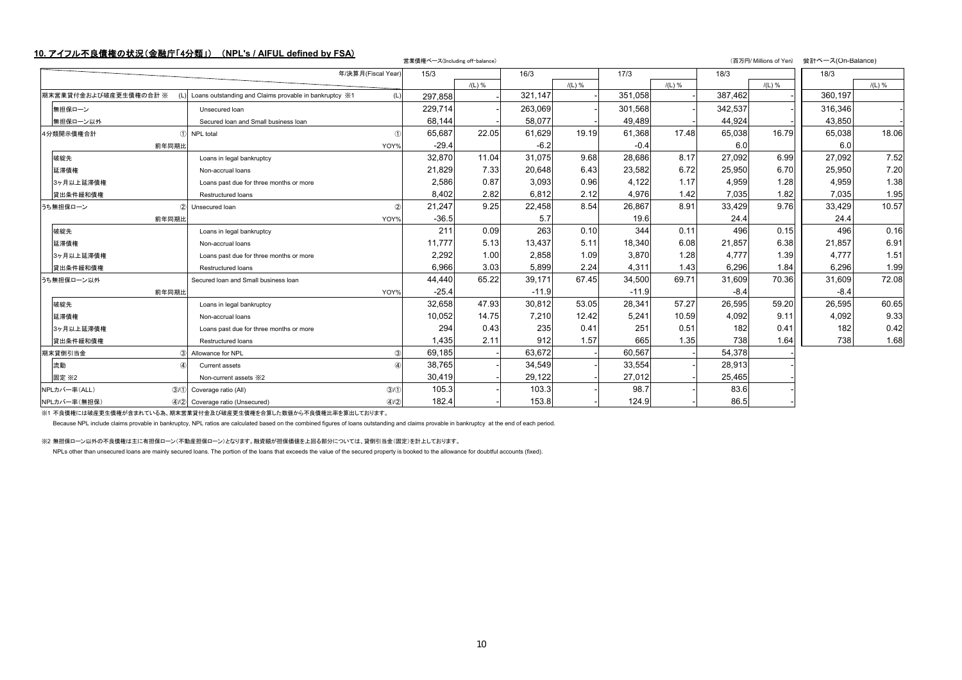## **10.** アイフル不良債権の状況(金融庁「4分類」) (**NPL's / AIFUL defined by FSA**) 営業債権ベース(Including off-balance) (百万円/ Millions of Yen) 会計ベース(On-Balance)

| 17/3<br>15/3<br>16/3<br>18/3<br>年/決算月(Fiscal Year)<br>18/3<br>$/(L)$ %<br>$/(L)$ %<br>$/(L)$ %<br>$/(L)$ %<br>$/(L)$ %<br>387,462<br>321,147<br>351,058<br>360.197<br>期末営業貸付金および破産更生債権の合計 ※<br>Loans outstanding and Claims provable in bankruptcy $\frac{1}{2}$ 1<br>297,858<br>(L)<br>229,714<br>263,069<br>301.568<br>342.537<br>316,346<br>無担保ローン<br>Unsecured loan<br>58,077<br>44,924<br>43,850<br>68,144<br>49,489<br>無担保ローン以外<br>Secured Ioan and Small business Ioan<br>61,629<br>19.19<br>61,368<br>17.48<br>65,038<br>65,687<br>22.05<br>65,038<br>16.79<br>1 NPL total<br>4分類開示債権合計<br>$-6.2$<br>$-29.4$<br>$-0.4$<br>6.0<br>6.0<br>前年同期比<br>YOY%<br>31,075<br>9.68<br>28,686<br>8.17<br>27,092<br>32,870<br>11.04<br>27,092<br>6.99<br>破綻先<br>Loans in legal bankruptcy<br>6.72<br>21,829<br>7.33<br>20,648<br>6.43<br>23,582<br>25,950<br>6.70<br>25,950<br>延滞債権<br>Non-accrual loans<br>0.87<br>0.96<br>4,122<br>1.17<br>2,586<br>3,093<br>4,959<br>1.28<br>4,959<br>3ヶ月以上延滞債権<br>Loans past due for three months or more<br>4,976<br>8,402<br>2.82<br>6,812<br>2.12<br>1.42<br>7,035<br>7,035<br>1.82<br>貸出条件緩和債権<br>Restructured loans<br>9.25<br>8.91<br>21,247<br>22,458<br>8.54<br>26,867<br>33,429<br>9.76<br>33,429<br>うち無担保ローン<br>2 Unsecured Ioan<br>$-36.5$<br>5.7<br>19.6<br>24.4<br>24.4<br>前年同期比<br>YOY%<br>344<br>211<br>263<br>0.10<br>0.11<br>496<br>496<br>破綻先<br>0.09<br>0.15<br>Loans in legal bankruptcy<br>6.08<br>11.777<br>5.13<br>5.11<br>6.38<br>13.437<br>18,340<br>21,857<br>21,857<br>延滞債権<br>Non-accrual loans<br>2,292<br>2,858<br>1.09<br>3,870<br>1.28<br>4,777<br>4,777<br>1.00<br>1.39<br>3ヶ月以上延滞債権<br>Loans past due for three months or more<br>2.24<br>1.43<br>6,296<br>6.966<br>3.03<br>5,899<br>4,311<br>6,296<br>1.84<br>貸出条件緩和債権<br>Restructured loans<br>65.22<br>39.171<br>67.45<br>34,500<br>69.71<br>31,609<br>31,609<br>44.440<br>70.36<br>うち無担保ローン以外<br>Secured Ioan and Small business Ioan<br>$-25.4$<br>$-11.9$<br>$-11.9$<br>$-8.4$<br>$-8.4$<br>前年同期比<br>YOY%<br>47.93<br>30,812<br>53.05<br>28,341<br>57.27<br>26,595<br>26,595<br>59.20<br>破綻先<br>32,658<br>Loans in legal bankruptcy<br>7,210<br>5,241<br>10.59<br>14.75<br>12.42<br>4,092<br>9.11<br>4,092<br>10,052<br>延滞債権<br>Non-accrual loans<br>294<br>235<br>0.41<br>251<br>0.51<br>182<br>0.43<br>182<br>0.41<br>3ヶ月以上延滞債権<br>Loans past due for three months or more<br>665<br>2.11<br>912<br>1.57<br>1.35<br>738<br>1,435<br>738<br>1.64<br>貸出条件緩和債権<br>Restructured loans<br>63.672<br>60,567<br>69,185<br>54,378<br>期末貸倒引当金<br>3 Allowance for NPL<br>3<br>38,765<br>34,549<br>33,554<br>28,913<br>流動<br>$\circled{4}$<br>Current assets<br>29,122<br>27,012<br>25,465<br>30,419<br>固定 ※2<br>Non-current assets *2<br>105.3<br>103.3<br>98.7<br>83.6<br>NPLカバー率(ALL)<br>(3)(1)<br>3/1 Coverage ratio (All)<br>182.4<br>153.8<br>124.9<br>86.5<br>(4/2)<br>NPLカバー率(無担保)<br>4/2 Coverage ratio (Unsecured) |  |  | 呂未頂惟ハー人(Including off-balance) |  |  |  |  |       |
|--------------------------------------------------------------------------------------------------------------------------------------------------------------------------------------------------------------------------------------------------------------------------------------------------------------------------------------------------------------------------------------------------------------------------------------------------------------------------------------------------------------------------------------------------------------------------------------------------------------------------------------------------------------------------------------------------------------------------------------------------------------------------------------------------------------------------------------------------------------------------------------------------------------------------------------------------------------------------------------------------------------------------------------------------------------------------------------------------------------------------------------------------------------------------------------------------------------------------------------------------------------------------------------------------------------------------------------------------------------------------------------------------------------------------------------------------------------------------------------------------------------------------------------------------------------------------------------------------------------------------------------------------------------------------------------------------------------------------------------------------------------------------------------------------------------------------------------------------------------------------------------------------------------------------------------------------------------------------------------------------------------------------------------------------------------------------------------------------------------------------------------------------------------------------------------------------------------------------------------------------------------------------------------------------------------------------------------------------------------------------------------------------------------------------------------------------------------------------------------------------------------------------------------------------------------------------------------------------------------------------------------------------------------------------------------------------------------------------------------------------------------------------------------------------------------------------------------------------------------------------------------------------------------------------------------------|--|--|--------------------------------|--|--|--|--|-------|
|                                                                                                                                                                                                                                                                                                                                                                                                                                                                                                                                                                                                                                                                                                                                                                                                                                                                                                                                                                                                                                                                                                                                                                                                                                                                                                                                                                                                                                                                                                                                                                                                                                                                                                                                                                                                                                                                                                                                                                                                                                                                                                                                                                                                                                                                                                                                                                                                                                                                                                                                                                                                                                                                                                                                                                                                                                                                                                                                            |  |  |                                |  |  |  |  |       |
|                                                                                                                                                                                                                                                                                                                                                                                                                                                                                                                                                                                                                                                                                                                                                                                                                                                                                                                                                                                                                                                                                                                                                                                                                                                                                                                                                                                                                                                                                                                                                                                                                                                                                                                                                                                                                                                                                                                                                                                                                                                                                                                                                                                                                                                                                                                                                                                                                                                                                                                                                                                                                                                                                                                                                                                                                                                                                                                                            |  |  |                                |  |  |  |  |       |
|                                                                                                                                                                                                                                                                                                                                                                                                                                                                                                                                                                                                                                                                                                                                                                                                                                                                                                                                                                                                                                                                                                                                                                                                                                                                                                                                                                                                                                                                                                                                                                                                                                                                                                                                                                                                                                                                                                                                                                                                                                                                                                                                                                                                                                                                                                                                                                                                                                                                                                                                                                                                                                                                                                                                                                                                                                                                                                                                            |  |  |                                |  |  |  |  |       |
|                                                                                                                                                                                                                                                                                                                                                                                                                                                                                                                                                                                                                                                                                                                                                                                                                                                                                                                                                                                                                                                                                                                                                                                                                                                                                                                                                                                                                                                                                                                                                                                                                                                                                                                                                                                                                                                                                                                                                                                                                                                                                                                                                                                                                                                                                                                                                                                                                                                                                                                                                                                                                                                                                                                                                                                                                                                                                                                                            |  |  |                                |  |  |  |  |       |
|                                                                                                                                                                                                                                                                                                                                                                                                                                                                                                                                                                                                                                                                                                                                                                                                                                                                                                                                                                                                                                                                                                                                                                                                                                                                                                                                                                                                                                                                                                                                                                                                                                                                                                                                                                                                                                                                                                                                                                                                                                                                                                                                                                                                                                                                                                                                                                                                                                                                                                                                                                                                                                                                                                                                                                                                                                                                                                                                            |  |  |                                |  |  |  |  |       |
|                                                                                                                                                                                                                                                                                                                                                                                                                                                                                                                                                                                                                                                                                                                                                                                                                                                                                                                                                                                                                                                                                                                                                                                                                                                                                                                                                                                                                                                                                                                                                                                                                                                                                                                                                                                                                                                                                                                                                                                                                                                                                                                                                                                                                                                                                                                                                                                                                                                                                                                                                                                                                                                                                                                                                                                                                                                                                                                                            |  |  |                                |  |  |  |  | 18.06 |
|                                                                                                                                                                                                                                                                                                                                                                                                                                                                                                                                                                                                                                                                                                                                                                                                                                                                                                                                                                                                                                                                                                                                                                                                                                                                                                                                                                                                                                                                                                                                                                                                                                                                                                                                                                                                                                                                                                                                                                                                                                                                                                                                                                                                                                                                                                                                                                                                                                                                                                                                                                                                                                                                                                                                                                                                                                                                                                                                            |  |  |                                |  |  |  |  |       |
|                                                                                                                                                                                                                                                                                                                                                                                                                                                                                                                                                                                                                                                                                                                                                                                                                                                                                                                                                                                                                                                                                                                                                                                                                                                                                                                                                                                                                                                                                                                                                                                                                                                                                                                                                                                                                                                                                                                                                                                                                                                                                                                                                                                                                                                                                                                                                                                                                                                                                                                                                                                                                                                                                                                                                                                                                                                                                                                                            |  |  |                                |  |  |  |  | 7.52  |
|                                                                                                                                                                                                                                                                                                                                                                                                                                                                                                                                                                                                                                                                                                                                                                                                                                                                                                                                                                                                                                                                                                                                                                                                                                                                                                                                                                                                                                                                                                                                                                                                                                                                                                                                                                                                                                                                                                                                                                                                                                                                                                                                                                                                                                                                                                                                                                                                                                                                                                                                                                                                                                                                                                                                                                                                                                                                                                                                            |  |  |                                |  |  |  |  | 7.20  |
|                                                                                                                                                                                                                                                                                                                                                                                                                                                                                                                                                                                                                                                                                                                                                                                                                                                                                                                                                                                                                                                                                                                                                                                                                                                                                                                                                                                                                                                                                                                                                                                                                                                                                                                                                                                                                                                                                                                                                                                                                                                                                                                                                                                                                                                                                                                                                                                                                                                                                                                                                                                                                                                                                                                                                                                                                                                                                                                                            |  |  |                                |  |  |  |  | 1.38  |
|                                                                                                                                                                                                                                                                                                                                                                                                                                                                                                                                                                                                                                                                                                                                                                                                                                                                                                                                                                                                                                                                                                                                                                                                                                                                                                                                                                                                                                                                                                                                                                                                                                                                                                                                                                                                                                                                                                                                                                                                                                                                                                                                                                                                                                                                                                                                                                                                                                                                                                                                                                                                                                                                                                                                                                                                                                                                                                                                            |  |  |                                |  |  |  |  | 1.95  |
|                                                                                                                                                                                                                                                                                                                                                                                                                                                                                                                                                                                                                                                                                                                                                                                                                                                                                                                                                                                                                                                                                                                                                                                                                                                                                                                                                                                                                                                                                                                                                                                                                                                                                                                                                                                                                                                                                                                                                                                                                                                                                                                                                                                                                                                                                                                                                                                                                                                                                                                                                                                                                                                                                                                                                                                                                                                                                                                                            |  |  |                                |  |  |  |  | 10.57 |
|                                                                                                                                                                                                                                                                                                                                                                                                                                                                                                                                                                                                                                                                                                                                                                                                                                                                                                                                                                                                                                                                                                                                                                                                                                                                                                                                                                                                                                                                                                                                                                                                                                                                                                                                                                                                                                                                                                                                                                                                                                                                                                                                                                                                                                                                                                                                                                                                                                                                                                                                                                                                                                                                                                                                                                                                                                                                                                                                            |  |  |                                |  |  |  |  |       |
|                                                                                                                                                                                                                                                                                                                                                                                                                                                                                                                                                                                                                                                                                                                                                                                                                                                                                                                                                                                                                                                                                                                                                                                                                                                                                                                                                                                                                                                                                                                                                                                                                                                                                                                                                                                                                                                                                                                                                                                                                                                                                                                                                                                                                                                                                                                                                                                                                                                                                                                                                                                                                                                                                                                                                                                                                                                                                                                                            |  |  |                                |  |  |  |  | 0.16  |
|                                                                                                                                                                                                                                                                                                                                                                                                                                                                                                                                                                                                                                                                                                                                                                                                                                                                                                                                                                                                                                                                                                                                                                                                                                                                                                                                                                                                                                                                                                                                                                                                                                                                                                                                                                                                                                                                                                                                                                                                                                                                                                                                                                                                                                                                                                                                                                                                                                                                                                                                                                                                                                                                                                                                                                                                                                                                                                                                            |  |  |                                |  |  |  |  | 6.91  |
|                                                                                                                                                                                                                                                                                                                                                                                                                                                                                                                                                                                                                                                                                                                                                                                                                                                                                                                                                                                                                                                                                                                                                                                                                                                                                                                                                                                                                                                                                                                                                                                                                                                                                                                                                                                                                                                                                                                                                                                                                                                                                                                                                                                                                                                                                                                                                                                                                                                                                                                                                                                                                                                                                                                                                                                                                                                                                                                                            |  |  |                                |  |  |  |  | 1.51  |
|                                                                                                                                                                                                                                                                                                                                                                                                                                                                                                                                                                                                                                                                                                                                                                                                                                                                                                                                                                                                                                                                                                                                                                                                                                                                                                                                                                                                                                                                                                                                                                                                                                                                                                                                                                                                                                                                                                                                                                                                                                                                                                                                                                                                                                                                                                                                                                                                                                                                                                                                                                                                                                                                                                                                                                                                                                                                                                                                            |  |  |                                |  |  |  |  | 1.99  |
|                                                                                                                                                                                                                                                                                                                                                                                                                                                                                                                                                                                                                                                                                                                                                                                                                                                                                                                                                                                                                                                                                                                                                                                                                                                                                                                                                                                                                                                                                                                                                                                                                                                                                                                                                                                                                                                                                                                                                                                                                                                                                                                                                                                                                                                                                                                                                                                                                                                                                                                                                                                                                                                                                                                                                                                                                                                                                                                                            |  |  |                                |  |  |  |  | 72.08 |
|                                                                                                                                                                                                                                                                                                                                                                                                                                                                                                                                                                                                                                                                                                                                                                                                                                                                                                                                                                                                                                                                                                                                                                                                                                                                                                                                                                                                                                                                                                                                                                                                                                                                                                                                                                                                                                                                                                                                                                                                                                                                                                                                                                                                                                                                                                                                                                                                                                                                                                                                                                                                                                                                                                                                                                                                                                                                                                                                            |  |  |                                |  |  |  |  |       |
|                                                                                                                                                                                                                                                                                                                                                                                                                                                                                                                                                                                                                                                                                                                                                                                                                                                                                                                                                                                                                                                                                                                                                                                                                                                                                                                                                                                                                                                                                                                                                                                                                                                                                                                                                                                                                                                                                                                                                                                                                                                                                                                                                                                                                                                                                                                                                                                                                                                                                                                                                                                                                                                                                                                                                                                                                                                                                                                                            |  |  |                                |  |  |  |  | 60.65 |
|                                                                                                                                                                                                                                                                                                                                                                                                                                                                                                                                                                                                                                                                                                                                                                                                                                                                                                                                                                                                                                                                                                                                                                                                                                                                                                                                                                                                                                                                                                                                                                                                                                                                                                                                                                                                                                                                                                                                                                                                                                                                                                                                                                                                                                                                                                                                                                                                                                                                                                                                                                                                                                                                                                                                                                                                                                                                                                                                            |  |  |                                |  |  |  |  | 9.33  |
|                                                                                                                                                                                                                                                                                                                                                                                                                                                                                                                                                                                                                                                                                                                                                                                                                                                                                                                                                                                                                                                                                                                                                                                                                                                                                                                                                                                                                                                                                                                                                                                                                                                                                                                                                                                                                                                                                                                                                                                                                                                                                                                                                                                                                                                                                                                                                                                                                                                                                                                                                                                                                                                                                                                                                                                                                                                                                                                                            |  |  |                                |  |  |  |  | 0.42  |
|                                                                                                                                                                                                                                                                                                                                                                                                                                                                                                                                                                                                                                                                                                                                                                                                                                                                                                                                                                                                                                                                                                                                                                                                                                                                                                                                                                                                                                                                                                                                                                                                                                                                                                                                                                                                                                                                                                                                                                                                                                                                                                                                                                                                                                                                                                                                                                                                                                                                                                                                                                                                                                                                                                                                                                                                                                                                                                                                            |  |  |                                |  |  |  |  | 1.68  |
|                                                                                                                                                                                                                                                                                                                                                                                                                                                                                                                                                                                                                                                                                                                                                                                                                                                                                                                                                                                                                                                                                                                                                                                                                                                                                                                                                                                                                                                                                                                                                                                                                                                                                                                                                                                                                                                                                                                                                                                                                                                                                                                                                                                                                                                                                                                                                                                                                                                                                                                                                                                                                                                                                                                                                                                                                                                                                                                                            |  |  |                                |  |  |  |  |       |
|                                                                                                                                                                                                                                                                                                                                                                                                                                                                                                                                                                                                                                                                                                                                                                                                                                                                                                                                                                                                                                                                                                                                                                                                                                                                                                                                                                                                                                                                                                                                                                                                                                                                                                                                                                                                                                                                                                                                                                                                                                                                                                                                                                                                                                                                                                                                                                                                                                                                                                                                                                                                                                                                                                                                                                                                                                                                                                                                            |  |  |                                |  |  |  |  |       |
|                                                                                                                                                                                                                                                                                                                                                                                                                                                                                                                                                                                                                                                                                                                                                                                                                                                                                                                                                                                                                                                                                                                                                                                                                                                                                                                                                                                                                                                                                                                                                                                                                                                                                                                                                                                                                                                                                                                                                                                                                                                                                                                                                                                                                                                                                                                                                                                                                                                                                                                                                                                                                                                                                                                                                                                                                                                                                                                                            |  |  |                                |  |  |  |  |       |
|                                                                                                                                                                                                                                                                                                                                                                                                                                                                                                                                                                                                                                                                                                                                                                                                                                                                                                                                                                                                                                                                                                                                                                                                                                                                                                                                                                                                                                                                                                                                                                                                                                                                                                                                                                                                                                                                                                                                                                                                                                                                                                                                                                                                                                                                                                                                                                                                                                                                                                                                                                                                                                                                                                                                                                                                                                                                                                                                            |  |  |                                |  |  |  |  |       |
|                                                                                                                                                                                                                                                                                                                                                                                                                                                                                                                                                                                                                                                                                                                                                                                                                                                                                                                                                                                                                                                                                                                                                                                                                                                                                                                                                                                                                                                                                                                                                                                                                                                                                                                                                                                                                                                                                                                                                                                                                                                                                                                                                                                                                                                                                                                                                                                                                                                                                                                                                                                                                                                                                                                                                                                                                                                                                                                                            |  |  |                                |  |  |  |  |       |

※1 不良債権には破産更生債権が含まれている為、期末営業貸付金及び破産更生債権を合算した数値から不良債権比率を算出しております。

Because NPL include claims provable in bankruptcy, NPL ratios are calculated based on the combined figures of loans outstanding and claims provable in bankruptcy at the end of each period.

※2 無担保ローン以外の不良債権は主に有担保ローン(不動産担保ローン)となります。融資額が担保価値を上回る部分については、貸倒引当金(固定)を計上しております。

NPLs other than unsecured loans are mainly secured loans. The portion of the loans that exceeds the value of the secured property is booked to the allowance for doubtful accounts (fixed).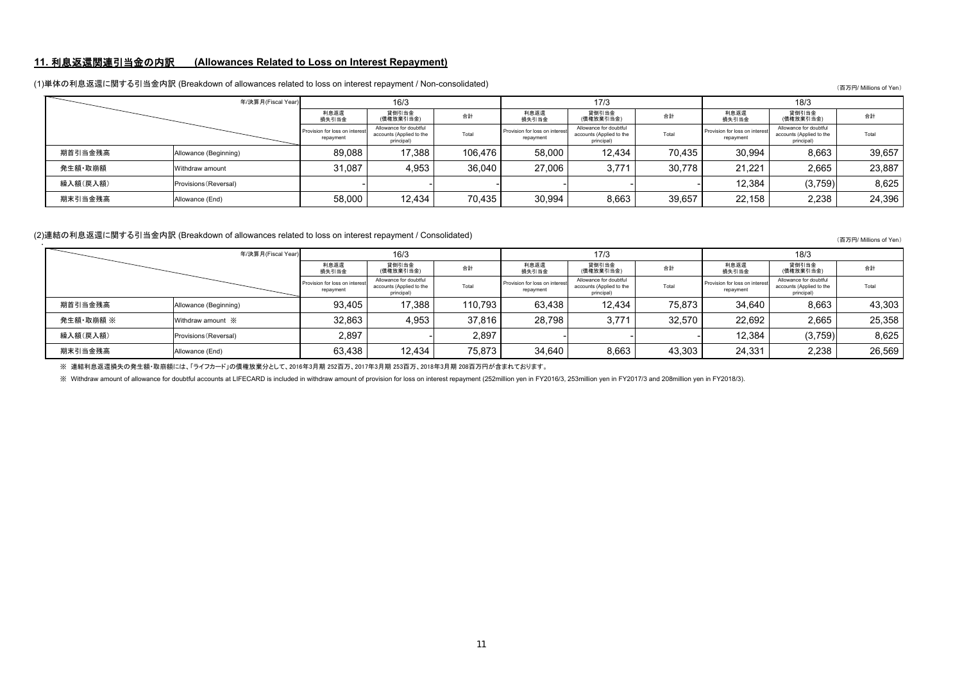#### **11.** 利息返還関連引当金の内訳 **(Allowances Related to Loss on Interest Repayment)**

|          | 年/決算月(Fiscal Year)    | 16/3                                        |                                                                  |         |                                            | 17/3                                                             |        | 18/3                                        |                                                                  |        |  |
|----------|-----------------------|---------------------------------------------|------------------------------------------------------------------|---------|--------------------------------------------|------------------------------------------------------------------|--------|---------------------------------------------|------------------------------------------------------------------|--------|--|
|          |                       | 利息返還<br>損失引当金                               | 貸倒引当金<br>(債権放棄引当金)                                               | 合計      | 利息返還<br>損失引当金                              | 貸倒引当金<br>(債権放棄引当金)                                               | 合計     | 利息返還<br>損失引当金                               | 貸倒引当金<br>(債権放棄引当金)                                               | 合計     |  |
|          |                       | Provision for loss on interest<br>repayment | Allowance for doubtful<br>accounts (Applied to the<br>principal) | Total   | Provision for loss on interes<br>repayment | Allowance for doubtful<br>accounts (Applied to the<br>principal) | Total  | Provision for loss on interest<br>repayment | Allowance for doubtful<br>accounts (Applied to the<br>principal) | Total  |  |
| 期首引当金残高  | Allowance (Beginning) | 89.088                                      | 17.388                                                           | 106.476 | 58,000                                     | 12.434                                                           | 70.435 | 30.994                                      | 8,663                                                            | 39.657 |  |
| 発生額·取崩額  | Withdraw amount       | 31,087                                      | 4,953                                                            | 36,040  | 27,006                                     | 3,771                                                            | 30.778 | 21.221                                      | 2,665                                                            | 23,887 |  |
| 繰入額(戻入額) | Provisions (Reversal) |                                             |                                                                  |         |                                            |                                                                  |        | 12,384                                      | (3,759)                                                          | 8,625  |  |
| 期末引当金残高  | Allowance (End)       | 58.000                                      | 12.434                                                           | 70.435  | 30,994                                     | 8,663                                                            | 39,657 | 22.158                                      | 2,238                                                            | 24,396 |  |

#### (1)単体の利息返還に関する引当金内訳 (Breakdown of allowances related to loss on interest repayment / Non-consolidated)

(百万円/ Millions of Yen)

### (2)連結の利息返還に関する引当金内訳 (Breakdown of allowances related to loss on interest repayment / Consolidated)<br>→

|           | 年/決算月(Fiscal Year)    |                                             | 16/3                                                             |         |                                             | 17/3                                                             |        | 18/3                                        |                                                                  |        |  |
|-----------|-----------------------|---------------------------------------------|------------------------------------------------------------------|---------|---------------------------------------------|------------------------------------------------------------------|--------|---------------------------------------------|------------------------------------------------------------------|--------|--|
|           |                       | 利息返還<br>損失引当金                               | 貸倒引当金<br>(債権放棄引当金)                                               | 合計      | 利息返還<br>損失引当金                               | 貸倒引当金<br>(債権放棄引当金)                                               | 合計     | 利息返還<br>損失引当金                               | 貸倒引当金<br>(債権放棄引当金)                                               | 合計     |  |
|           |                       | Provision for loss on interest<br>repayment | Allowance for doubtful<br>accounts (Applied to the<br>principal) | Total   | Provision for loss on interest<br>repayment | Allowance for doubtful<br>accounts (Applied to the<br>principal) | Total  | Provision for loss on interest<br>repayment | Allowance for doubtful<br>accounts (Applied to the<br>principal) | Total  |  |
| 期首引当金残高   | Allowance (Beginning) | 93.405                                      | 17.388                                                           | 110.793 | 63.438                                      | 12.434                                                           | 75.873 | 34.640                                      | 8.663                                                            | 43.303 |  |
| 発生額·取崩額 ※ | Withdraw amount ※     | 32.863                                      | 4.953                                                            | 37.816  | 28.798                                      | 3.771                                                            | 32.570 | 22.692                                      | 2.665                                                            | 25.358 |  |
| 繰入額(戻入額)  | Provisions (Reversal) | 2.897                                       |                                                                  | 2.897   |                                             |                                                                  |        | 12.384                                      | (3,759)                                                          | 8,625  |  |
| 期末引当金残高   | Allowance (End)       | 63,438                                      | 12.434                                                           | 75.873  | 34,640                                      | 8,663                                                            | 43,303 | 24,331                                      | 2,238                                                            | 26,569 |  |

※ 連結利息返還損失の発生額・取崩額には、「ライフカード」の債権放棄分として、2016年3月期 252百万、2017年3月期 253百万、2018年3月期 208百万円が含まれております。

※ Withdraw amount of allowance for doubtful accounts at LIFECARD is included in withdraw amount of provision for loss on interest repayment (252million yen in FY2016/3, 253million yen in FY2017/3 and 208million yen in FY20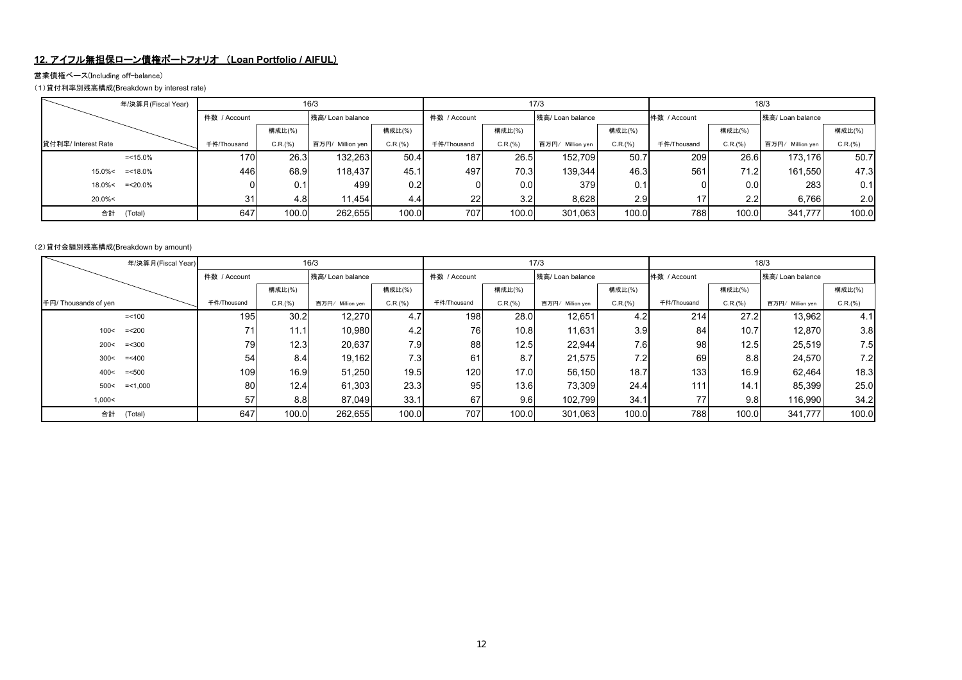### **12.** アイフル無担保ローン債権ポートフォリオ (**Loan Portfolio / AIFUL**)

#### 営業債権ベース(Including off-balance)

(1)貸付利率別残高構成(Breakdown by interest rate)

| 年/決算月(Fiscal Year)   |              | 16/3    |                  |         |              |         | 17/3                |         | 18/3         |         |                  |         |  |
|----------------------|--------------|---------|------------------|---------|--------------|---------|---------------------|---------|--------------|---------|------------------|---------|--|
|                      | 件数 / Account |         | 残高/ Loan balance |         | 件数 / Account |         | 残高/ Loan balance    |         | 件数 / Account |         | 残高/ Loan balance |         |  |
|                      |              | 構成比(%)  |                  | 構成比(%)  |              | 構成比(%)  |                     | 構成比(%)  |              | 構成比(%)  |                  | 構成比(%)  |  |
| 貸付利率/ Interest Rate  | 千件/Thousand  | C.R.(%) | 百万円/ Million yen | C.R.(%) | 千件/Thousand  | C.R.(%) | 百万円/<br>Million yen | C.R.(%) | 千件/Thousand  | C.R.(%) | 百万円/ Million yen | C.R.(%) |  |
| $=$ <15.0%           | 170          | 26.3    | 132,263          | 50.4    | 187          | 26.5    | 152.709             | 50.7    | 209          | 26.6    | 173.176          | 50.7    |  |
| 15.0%<<br>$=$ <18.0% | 446          | 68.9    | 118,437          | 45.1    | 497          | 70.3    | 139.344             | 46.3    | 561          | 71.2    | 161,550          | 47.3    |  |
| 18.0%<<br>$=<20.0\%$ |              | 0.1     | 499              | 0.2     |              | 0.0     | 379                 | 0.1     |              | 0.0     | 283              | 0.11    |  |
| $20.0\%<$            | 31           | 4.8     | 11,454           | 4.4     | 22           | 3.2     | 8,628               | 2.9     | 17           | 2.2     | 6,766            | 2.0     |  |
| 合計<br>(Total)        | 647          | 100.0   | 262.655          | 100.0   | 707          | 100.0   | 301,063             | 100.0   | 788          | 100.0   | 341.777          | 100.0   |  |

#### (2)貸付金額別残高構成(Breakdown by amount)

|                      | 16/3<br>年/決算月(Fiscal Year) |              |         |                  |         |              |         | 17/3                |                  | 18/3         |         |                  |         |  |
|----------------------|----------------------------|--------------|---------|------------------|---------|--------------|---------|---------------------|------------------|--------------|---------|------------------|---------|--|
|                      |                            | 件数 / Account |         | 残高/ Loan balance |         | 件数 / Account |         | 残高/ Loan balance    |                  | 件数 / Account |         | 残高/ Loan balance |         |  |
|                      |                            |              | 構成比(%)  |                  | 構成比(%)  |              | 構成比(%)  |                     | 構成比(%)           |              | 構成比(%)  |                  | 構成比(%)  |  |
| 千円/ Thousands of yen |                            | 千件/Thousand  | C.R.(%) | 百万円/ Million yen | C.R.(%) | 千件/Thousand  | C.R.(%) | 百万円/<br>Million yen | C.R.(%)          | 千件/Thousand  | C.R.(%) | 百万円/ Million yen | C.R.(%) |  |
|                      | $= < 100$                  | 195          | 30.2    | 12,270           | 4.7     | 198          | 28.0    | 12,651              | 4.2              | 214          | 27.2    | 13,962           | 4.1     |  |
| 100<                 | $=<200$                    | 71           | 11.1    | 10,980           | 4.2     | 76           | 10.8    | 11,631              | 3.9 <sub>l</sub> | 84           | 10.7    | 12,870           | 3.8     |  |
| 200<                 | $=<300$                    | 79           | 12.3    | 20,637           | 7.9     | 88           | 12.5    | 22,944              | 7.6              | 98           | 12.5    | 25,519           | 7.5     |  |
| 300<                 | $=< 400$                   | 54           | 8.4     | 19,162           | 7.3     | 61           | 8.7     | 21,575              | 7.2              | 69           | 8.8     | 24,570           | 7.2     |  |
| 400<                 | $=<500$                    | 109          | 16.9    | 51,250           | 19.5    | 120          | 17.0    | 56,150              | 18.7             | 133          | 16.9    | 62.464           | 18.3    |  |
| 500<                 | $=$ <1,000                 | 80           | 12.4    | 61,303           | 23.3    | 95           | 13.6    | 73,309              | 24.4             | 111          | 14.1    | 85,399           | 25.0    |  |
| 1,000<               |                            | 57           | 8.8     | 87,049           | 33.1    | 67           | 9.6     | 102,799             | 34.1             | 77           | 9.8     | 116,990          | 34.2    |  |
| 合計                   | (Total)                    | 647          | 100.0   | 262,655          | 100.0   | 707          | 100.0   | 301.063             | 100.0            | 788          | 100.0   | 341.777          | 100.0   |  |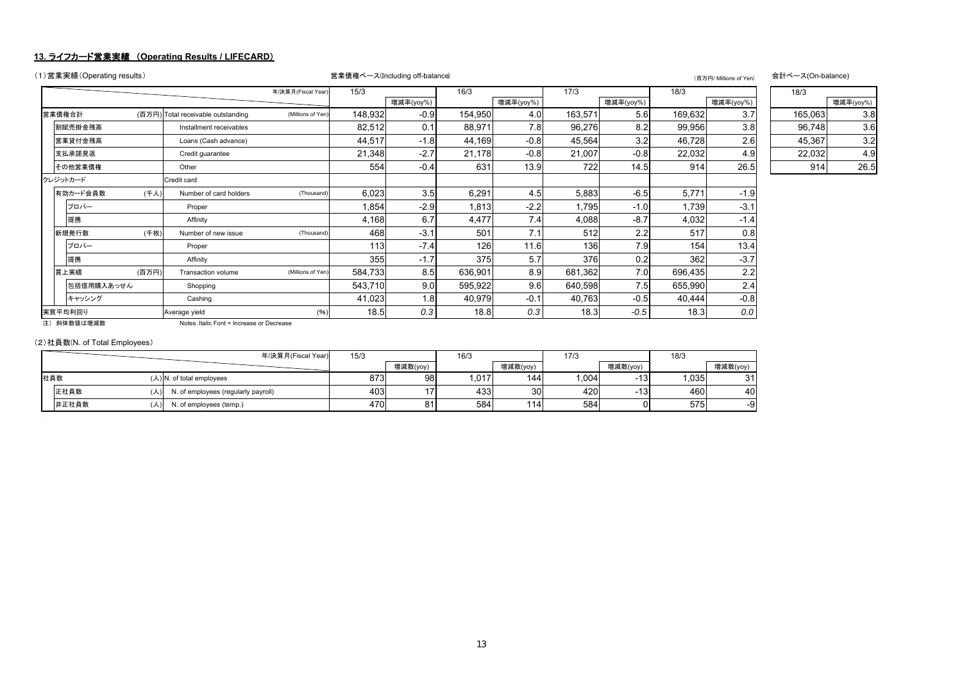#### **13.** ライフカード営業実績 (**Operating Results / LIFECARD**)

| (1)営業実績(Operating results) |       |                                           |                    | 営業債権ベース(Including off-balance)<br>(百万円/ Millions of Yen) |                  |         |           |         |           |         |           |         | 会計ベース(On-balance) |  |
|----------------------------|-------|-------------------------------------------|--------------------|----------------------------------------------------------|------------------|---------|-----------|---------|-----------|---------|-----------|---------|-------------------|--|
|                            |       |                                           | 年/決算月(Fiscal Year) | 15/3                                                     |                  | 16/3    |           | 17/3    |           | 18/3    |           | 18/3    |                   |  |
|                            |       |                                           |                    |                                                          | 増減率(yoy%)        |         | 増減率(yoy%) |         | 増減率(yoy%) |         | 増減率(yoy%) |         | 増減率(yoy%)         |  |
| 営業債権合計                     |       | (百万円) Total receivable outstanding        | (Millions of Yen)  | 148,932                                                  | $-0.9$           | 154,950 | 4.0       | 163,571 | 5.6       | 169,632 | 3.7       | 165,063 | 3.8               |  |
| 割賦売掛金残高                    |       | Installment receivables                   |                    | 82,512                                                   | 0.1              | 88,971  | 7.8       | 96,276  | 8.2       | 99,956  | 3.8       | 96,748  | 3.6               |  |
| 営業貸付金残高                    |       | Loans (Cash advance)                      |                    | 44,517                                                   | $-1.8$           | 44,169  | $-0.8$    | 45,564  | 3.2       | 46,728  | 2.6       | 45,367  | 3.2               |  |
| 支払承諾見返                     |       | Credit guarantee                          |                    | 21,348                                                   | $-2.7$           | 21,178  | $-0.8$    | 21,007  | $-0.8$    | 22,032  | 4.9       | 22,032  | 4.9               |  |
| その他営業債権                    |       | Other                                     |                    | 554                                                      | $-0.4$           | 631     | 13.9      | 722     | 14.5      | 914     | 26.5      | 914     | 26.5              |  |
| クレジットカード                   |       | Credit card                               |                    |                                                          |                  |         |           |         |           |         |           |         |                   |  |
| 有効カード会員数                   | (千人)  | Number of card holders                    | (Thousand)         | 6,023                                                    | 3.5              | 6,291   | 4.5       | 5,883   | $-6.5$    | 5,771   | $-1.9$    |         |                   |  |
| プロパー                       |       | Proper                                    |                    | 1,854                                                    | $-2.9$           | 1,813   | $-2.2$    | 1,795   | $-1.0$    | 1,739   | $-3.1$    |         |                   |  |
| 提携                         |       | Affinity                                  |                    | 4,168                                                    | 6.7              | 4,477   | 7.4       | 4,088   | $-8.7$    | 4,032   | $-1.4$    |         |                   |  |
| 新規発行数                      | (千枚)  | Number of new issue                       | (Thousand)         | 468                                                      | $-3.1$           | 501     | 7.1       | 512     | 2.2       | 517     | 0.8       |         |                   |  |
| プロパー                       |       | Proper                                    |                    | 113                                                      | $-7.4$           | 126     | 11.6      | 136     | 7.9       | 154     | 13.4      |         |                   |  |
| 提携                         |       | Affinity                                  |                    | 355                                                      | $-1.7$           | 375     | 5.7       | 376     | 0.2       | 362     | $-3.7$    |         |                   |  |
| 買上実績                       | (百万円) | Transaction volume                        | (Millions of Yen)  | 584,733                                                  | 8.5              | 636,901 | 8.9       | 681,362 | 7.0       | 696,435 | 2.2       |         |                   |  |
| 包括信用購入あっせん                 |       | Shopping                                  |                    | 543,710                                                  | 9.0              | 595,922 | 9.6       | 640,598 | 7.5       | 655,990 | 2.4       |         |                   |  |
| キャッシング                     |       | Cashing                                   |                    | 41,023                                                   | 1.8 <sub>l</sub> | 40,979  | $-0.1$    | 40,763  | $-0.5$    | 40,444  | $-0.8$    |         |                   |  |
| 実質平均利回り                    |       | Average yield                             | (%)                | 18.5                                                     | 0.3              | 18.8    | 0.3       | 18.3    | $-0.5$    | 18.3    | 0.0       |         |                   |  |
| 注) 斜体数値は増減数                |       | Notes: Italic Font = Increase or Decrease |                    |                                                          |                  |         |           |         |           |         |           |         |                   |  |

注) 斜体数値は増減数

#### (2)社員数(N. of Total Employees)

|       |     | 年/決算月(Fiscal Year)                  | 15/3 |                      | 16/3 |          | 17/3 |                 | 18/3 |          |
|-------|-----|-------------------------------------|------|----------------------|------|----------|------|-----------------|------|----------|
|       |     |                                     |      | 增減数(yoy)             |      | 增減数(yoy) |      | 増減数(yoy)        |      | 增減数(yoy) |
| 社員数   |     | $(\lambda)$ N. of total employees   | 873  | 98                   | .017 | 144      | ,004 | $-13$           | ,035 | 21<br>ັ  |
| 正社員数  | (人) | I. of employees (regularly payroll) | 403  | $4 -$                | 433  | 30       | 420  | 13 <sup>l</sup> | 460  | 40       |
| 非正社員数 | (人) | J. of employees (temp.)             | 470  | O <sub>4</sub><br>οı | 584  | 114      | 584  | ופ              | 575  | -9       |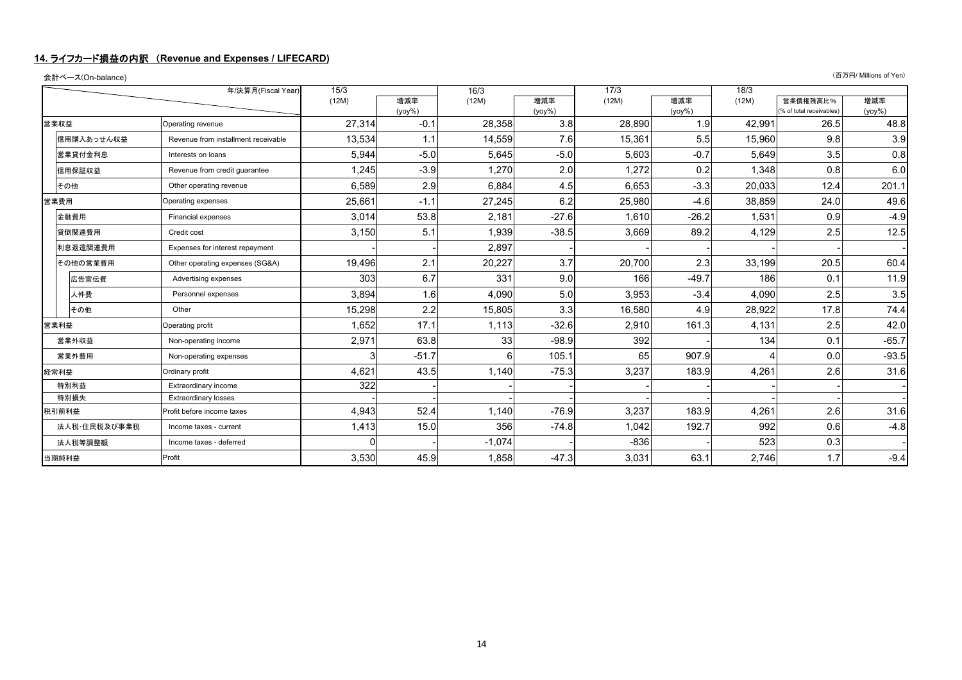#### **14.** ライフカード損益の内訳 (**Revenue and Expenses / LIFECARD)**

|       | 会計ベース(On-balance) |                                     |        |                  |          |                  |        |                  |        |                                     | (百万円/ Millions of Yen) |
|-------|-------------------|-------------------------------------|--------|------------------|----------|------------------|--------|------------------|--------|-------------------------------------|------------------------|
|       |                   | 年/決算月(Fiscal Year)                  | 15/3   |                  | 16/3     |                  | 17/3   |                  | 18/3   |                                     |                        |
|       |                   |                                     | (12M)  | 増減率<br>$(yoy\%)$ | (12M)    | 増減率<br>$(yoy\%)$ | (12M)  | 増減率<br>$(yoy\%)$ | (12M)  | 営業債権残高比%<br>% of total receivables) | 増減率<br>$(yoy\%)$       |
|       | 営業収益              | Operating revenue                   | 27,314 | $-0.1$           | 28,358   | 3.8              | 28,890 | 1.9              | 42,991 | 26.5                                | 48.8                   |
|       | 信用購入あっせん収益        | Revenue from installment receivable | 13,534 | 1.1              | 14,559   | 7.6              | 15,361 | 5.5              | 15,960 | 9.8                                 | 3.9                    |
|       | 営業貸付金利息           | Interests on loans                  | 5,944  | $-5.0$           | 5,645    | $-5.0$           | 5,603  | $-0.7$           | 5,649  | 3.5                                 | 0.8                    |
|       | 信用保証収益            | Revenue from credit quarantee       | 1,245  | $-3.9$           | 1,270    | 2.0              | 1,272  | 0.2              | 1,348  | 0.8                                 | 6.0                    |
|       | その他               | Other operating revenue             | 6,589  | 2.9              | 6,884    | 4.5              | 6,653  | $-3.3$           | 20,033 | 12.4                                | 201.1                  |
| 営業費用  |                   | Operating expenses                  | 25,661 | $-1.1$           | 27.245   | 6.2              | 25,980 | $-4.6$           | 38.859 | 24.0                                | 49.6                   |
|       | 金融費用              | Financial expenses                  | 3.014  | 53.8             | 2,181    | $-27.6$          | 1,610  | $-26.2$          | 1,531  | 0.9                                 | $-4.9$                 |
|       | 貸倒関連費用            | Credit cost                         | 3,150  | 5.1              | 1,939    | $-38.5$          | 3,669  | 89.2             | 4,129  | 2.5                                 | 12.5                   |
|       | 利息返還関連費用          | Expenses for interest repayment     |        |                  | 2,897    |                  |        |                  |        |                                     |                        |
|       | その他の営業費用          | Other operating expenses (SG&A)     | 19.496 | 2.1              | 20,227   | 3.7              | 20,700 | 2.3              | 33.199 | 20.5                                | 60.4                   |
|       | 広告宣伝費             | Advertising expenses                | 303    | 6.7              | 331      | 9.0              | 166    | $-49.7$          | 186    | 0.1                                 | 11.9                   |
|       | 人件費               | Personnel expenses                  | 3,894  | 1.6              | 4,090    | 5.0              | 3,953  | $-3.4$           | 4,090  | 2.5                                 | 3.5                    |
|       | その他               | Other                               | 15,298 | 2.2              | 15,805   | 3.3              | 16,580 | 4.9              | 28,922 | 17.8                                | 74.4                   |
|       | 営業利益              | Operating profit                    | 1,652  | 17.1             | 1,113    | $-32.6$          | 2,910  | 161.3            | 4,131  | 2.5                                 | 42.0                   |
|       | 営業外収益             | Non-operating income                | 2,971  | 63.8             | 33       | $-98.9$          | 392    |                  | 134    | 0.1                                 | $-65.7$                |
|       | 営業外費用             | Non-operating expenses              |        | $-51.7$          | 61       | 105.1            | 65     | 907.9            |        | 0.0                                 | $-93.5$                |
|       | 経常利益              | Ordinary profit                     | 4,621  | 43.5             | 1,140    | $-75.3$          | 3,237  | 183.9            | 4,261  | 2.6                                 | 31.6                   |
| 特別利益  |                   | Extraordinary income                | 322    |                  |          |                  |        |                  |        |                                     |                        |
| 特別損失  |                   | <b>Extraordinary losses</b>         |        |                  |          |                  |        |                  |        |                                     |                        |
| 税引前利益 |                   | Profit before income taxes          | 4.943  | 52.4             | 1.140    | $-76.9$          | 3,237  | 183.9            | 4,261  | 2.6                                 | 31.6                   |
|       | 法人税・住民税及び事業税      | Income taxes - current              | 1,413  | 15.0             | 356      | $-74.8$          | 1,042  | 192.7            | 992    | 0.6                                 | $-4.8$                 |
|       | 法人税等調整額           | Income taxes - deferred             |        |                  | $-1,074$ |                  | $-836$ |                  | 523    | 0.3                                 |                        |
|       | 当期純利益             | Profit                              | 3,530  | 45.9             | 1,858    | $-47.3$          | 3,031  | 63.1             | 2,746  | 1.7                                 | $-9.4$                 |